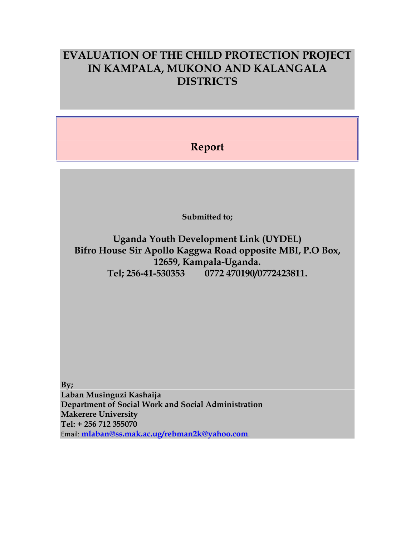## **EVALUATION OF THE CHILD PROTECTION PROJECT IN KAMPALA, MUKONO AND KALANGALA DISTRICTS**

### **Report**

**Submitted to;**

**Uganda Youth Development Link (UYDEL) Bifro House Sir Apollo Kaggwa Road opposite MBI, P.O Box, 12659, Kampala-Uganda. Tel;256-41-530353 0772 470190/0772423811.**

**By;Laban Musinguzi Kashaija Department of Social Work and Social Administration Makerere University Tel: + 256 712 355070 n Musinguzi Kashaija<br>rtment of Social Work and Social Administration<br>rere University<br>256 712 355070<br>mlaban@ss.mak.ac.ug/rebman2k@yahoo.com.**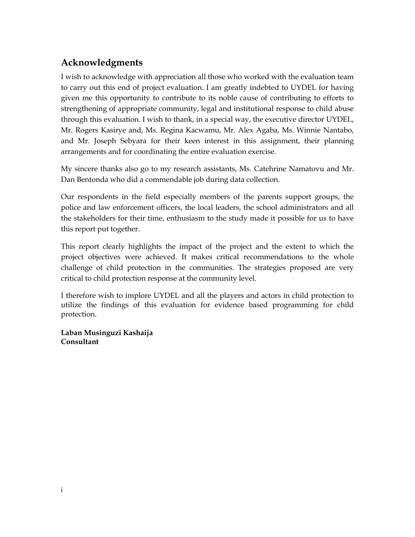### **Acknowledgments**

I wish to acknowledge with appreciation all those who worked with the evaluation team to carry out this end of project evaluation. I am greatly indebted to UYDEL for having given me this opportunity to contribute to its noble cause of contributing to efforts to strengthening of appropriate community, legal and institutional response to child abuse through this evaluation. I wish to thank, in a special way, the executive director UYDEL, Mr. Rogers Kasirye and, Ms. Regina Kacwamu, Mr. Alex Agaba, Ms. Winnie Nantabo, and Mr. Joseph Sebyara for their keen interest in this assignment, their planning arrangements and for coordinating the entire evaluation exercise.

My sincere thanks also go to my research assistants, Ms. Catehrine Namatovu and Mr. Dan Bentonda who did a commendable job during data collection.

Our respondents in the field especially members of the parents support groups, the police and law enforcement officers, the local leaders, the school administrators and all the stakeholders for their time, enthusiasm to the study made it possible for us to have this report put together.

This report clearly highlights the impact of the project and the extent to which the project objectives were achieved. It makes critical recommendations to the whole challenge of child protection in the communities. The strategies proposed are very critical to child protection response at the community level.

I therefore wish to implore UYDEL and all the players and actors in child protection to utilize the findings of this evaluation for evidence based programming for child protection.

**Laban Musinguzi Kashaija Consultant**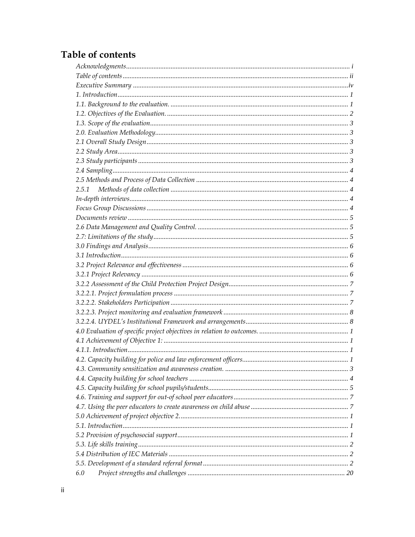### Table of contents

| 2.5.1 |  |
|-------|--|
|       |  |
|       |  |
|       |  |
|       |  |
|       |  |
|       |  |
|       |  |
|       |  |
|       |  |
|       |  |
|       |  |
|       |  |
|       |  |
|       |  |
|       |  |
|       |  |
|       |  |
|       |  |
|       |  |
|       |  |
|       |  |
|       |  |
|       |  |
|       |  |
|       |  |
|       |  |
|       |  |
|       |  |
|       |  |
| 6.0   |  |
|       |  |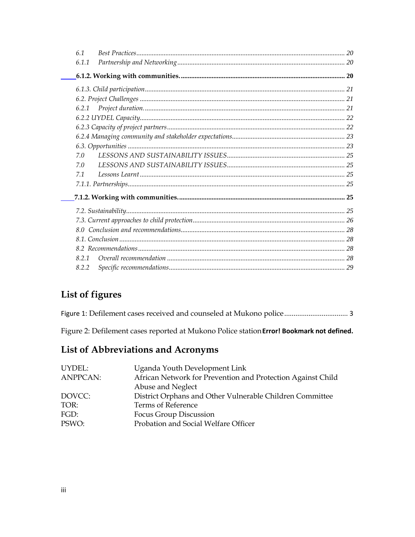| 6.1   |  |
|-------|--|
| 6.1.1 |  |
|       |  |
|       |  |
|       |  |
|       |  |
|       |  |
|       |  |
|       |  |
|       |  |
| 7.0   |  |
| 7.0   |  |
| 7.1   |  |
|       |  |
|       |  |
|       |  |
|       |  |
|       |  |
|       |  |
|       |  |
| 8.2.1 |  |
| 8.2.2 |  |
|       |  |

### List of figures

Figure 2: Defilement cases reported at Mukono Police station Error! Bookmark not defined.

### List of Abbreviations and Acronyms

| Uganda Youth Development Link                               |
|-------------------------------------------------------------|
| African Network for Prevention and Protection Against Child |
| Abuse and Neglect                                           |
| District Orphans and Other Vulnerable Children Committee    |
| Terms of Reference                                          |
| Focus Group Discussion                                      |
| Probation and Social Welfare Officer                        |
|                                                             |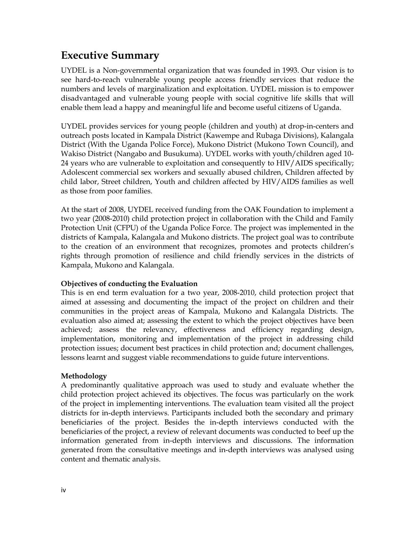# **Executive Summary**

UYDEL is a Non-governmental organization that was founded in 1993. Our vision is to see hard-to-reach vulnerable young people access friendly services that reduce the numbers and levels of marginalization and exploitation. UYDEL mission is to empower disadvantaged and vulnerable young people with social cognitive life skills that will enable them lead ahappy and meaningful life and become useful citizens of Uganda.

UYDEL provides services for young people (children and youth) at drop-in-centers and outreach posts located in Kampala District (Kawempe and Rubaga Divisions), Kalangala District (With the Uganda Police Force), Mukono District (Mukono Town Council), and Wakiso District (Nangabo and Busukuma). UYDEL works with youth/children aged 10- <sup>24</sup>24 years who are vulnerable to exploitation and consequently to HIV/AIDS specifically; Adolescent commercial sex workers and sexually abused children, Children affected by child labor, Street children, Youth and children affected by HIV/AIDS families as well as those from poor families.

At the start of 2008, UYDEL received funding from the OAK Foundation to implement a two year (2008-2010) child protection project in collaboration with the Child and Family Protection Unit (CFPU) of the Uganda Police Force. The project was implemented in the districts of Kampala, Kalangala and Mukono districts. The project goal was to contribute to the creation of an environment that recognizes, promotes and protects childrenís rights through promotion of resilience and child friendly services in the districts of Kampala, Mukono and Kalangala.

### **Objectives of conducting the Evaluation**

This is en end term evaluation for a two year, 2008-2010, child protection project that aimed at assessing and documenting the impact of the project on children and their communities in the project areas of Kampala, Mukono and Kalangala Districts. The evaluation also aimed at; assessing the extent to which the project objectives have been achieved; assess the relevancy, effectiveness and efficiency regarding design, implementation, monitoring and implementation of the project in addressing child implementation, monitoring and implementation of the project in addressing child protection issues; document best practices in child protection and; document challenges, lessons learnt and suggest viable recommendations to guide future interventions. lessons learnt and suggest viable recommendations to guide future interventions.

### **Methodology**

ivbeneficiaries of the project, a review of relevant documents was conducted to beef up the A predominantly qualitative approach was used to study and evaluate whether the child protection project achieved its objectives. The focus was particularly on the work of the project in implementing interventions. The evaluation team visited all the project districts for in-depth interviews. Participants included both the secondary and primary beneficiaries of the project. Besides the in-depth interviews conducted with the information generated from in-depth interviews and discussions. The information generated from the consultative meetings and in-depth interviews was analysed using content and thematic analysis.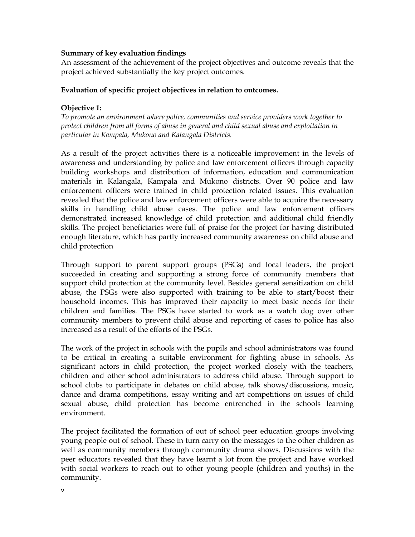### **Summary ofkey evaluation findings**

An assessment of the achievement of the project objectives and outcome reveals that the profect achieved substantially the key project outcomes.

### **Evaluation of specific project objectives in relation to outcomes.**

### **Objective 1:**

*To promote an environment where police, communities and service providers work together to protect children from all forms of abuse in general and child sexual abuse and exploitation in particular in Kampala, Mukono and Kalangala Districts.*

As a result of the project activities there is a noticeable improvement in the levels of awareness and understanding by police and law enforcement officers through capacity building workshops and distribution of information, education and communication materials in Kalangala, Kampala and Mukono districts. Over 90 police and law enforcement officers were trained in child protection related issues. This evaluation revealed that the police and law enforcement officers were able to acquire the necessary skills in handling child abuse cases. The police and law enforcement officers demonstrated increased knowledge of child protection and additional child friendly skills. The project beneficiaries were full of praise for the project for having distributed enough literature, which has partly increased community awareness on child abuse and child protection

Through support to parent support groups (PSGs) and local leaders, the project succeeded in creating and supporting a strong force of community members that support child protection at the community level. Besides general sensitization on child abuse, the PSGs were also supported with training to be able to start/boost their household incomes. This has improved their capacity to meet basic needs for their children and families. The PSGs have started to work as a watch dog over other community members to prevent child abuse and reporting of cases to police has also increased as a result of the efforts of the PSGs.

The work of the project in schools with the pupils and school administrators was found to be critical in creating a suitable environment for fighting abuse in schools. As significant actors in child protection, the project worked closely with the teachers, children and other school administrators to address child abuse. Through support to children and other school administrators to address child abuse. Through support to school clubs to participate in debates on child abuse, talk shows/discussions, music, dance and drama compotitions, occay writing and art compotitions on issues of child and drama competitions, essay writing and art competitions on issues of child sexual abuse, child protection has become entrenched in the schools learning environment.

The project facilitated the formation of out of school peer education groups involving young people out of school. These in turn carry on the messages to the other children as well as community members through community drama shows. Discussions with the peer educators revealed that they have learnt a lot from the project and have worked with social workers to reach outto other young people (children and youths) in the community.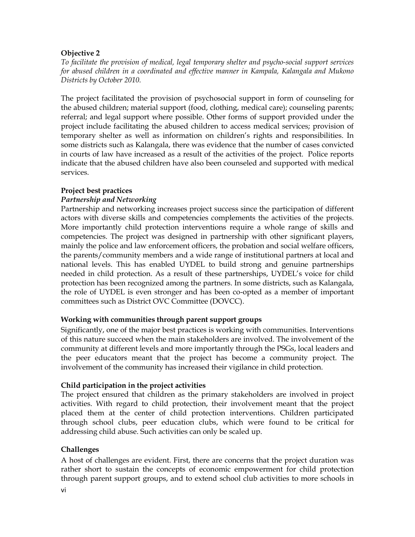#### **Objective2**

*To facilitate the provision of medical, legal temporary shelter and psycho-social support services for abused children in acoordinated and ef ective manner in Kampala, Kalangala and Mukono Districts by October 2010.*

The project facilitated the provision of psychosocial support in form of counseling for the abused children; material support (food, clothing, medical care); counseling parents; referral; and legal support where possible. Other forms of support provided under the project include facilitating the abused children to access medical services; provision of temporary shelter as well as information on childrenís rights and responsibilities. In some districts such as Kalangala, there was evidence that the number of cases convicted in courts of law have increased as a result of the activities of the project. Police reports indicate that the abused children have also been counseled and supported with medical services.

### **Project best practices**

### *Partnership and Networking*

Partnership and networking increases project success since the participation of different actors with diverse skills and competencies complements the activities of the projects.<br>More importantly child protection interventions require a whole range of skills and More importantly child protection interventions require a whole range of skills and experiencies. The project was designed in partnership with other significant players, mainly the police and law opforcement officers, the probation and social welfare officers. mainly the police and law enforcement officers, the probation and social welfare officers, parents/community members and a wide range of institutional partners at local and national levels. This has enabled UYDEL to build strong and genuine partnerships needed in child protection. As a result of these partnerships, UYDEL's voice for child protection has been recognized among the partners. In some districts, such as Kalangala, the role of UNDEL is over stronger and has been co onted as a member of important the role of UYDEL is even stronger and has been co-opted as a member of important committees such asDistrict OVC Committee (DOVCC).

### **Working with communities through parent support groups**

 $\sum_{i=1}^{n} a_i$  Significantly, one of the major best practices is working with communities. Interventions of this nature succeed when the main stakeholders are involved. The involvement of the community at different levels and more importantly through the PSGs, local leaders and the peer educators meant that the project has become a community project. The involvement of the community has increased their vigilance in child protection.

### **Child participation in the project activities**

viaddressing child abuse. Such activities can only be scaled up. The project ensured that children as the primary stakeholders are involved in project activities. With regard to child protection, their involvement meant that the project placed them at the center of child protection interventions. Children participated through school clubs, peer education clubs, which were found to be critical for

### **Challenges**

A host of challenges are evident. First, there are concerns that the project duration was rather short to sustain the concepts of economic empowerment for child protection through parent support groups, and to extend school club activities to more schools in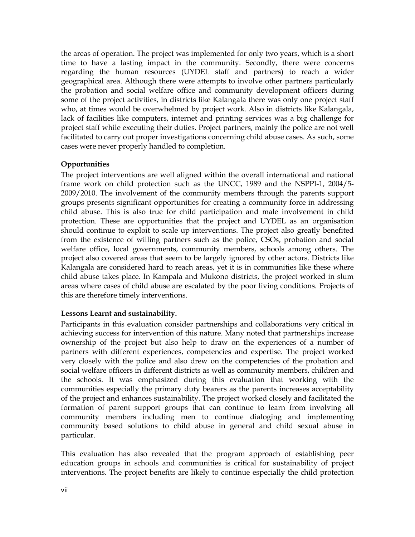the areas of operation. The project was implemented foronly two years, which is a short the measure of examely the project was infromunity. Secondly, there were concerns regarding the human resources (UYDEL staff and partners) to reach a wider geographical area. Although there were attempts to involve other partners particularly the probation and social welfare office and community development officers during some of the project activities, in districts like Kalangala there was only one project staff who, at times would be overwhelmed by project work. Also in districts like Kalangala, lack of facilities like computers, internet and printing services was a big challenge for lack of facilities like computers, internet and printing services was a big challenge for project staff while executing their duties. Project partners, mainly the police are not well facilitated to carry out proper investigations concerning child abuse cases. As such, some cases were never properly handled to completion.

### **Opportunities**

The project interventions are well aligned within the overall international and national frame work on child protection such as the UNCC, 1989 and the NSPPI-1, 2004/5-<br>2009/2010. The involvement of the community members through the narents support 2009/2010. The involvement of the community members through the parents support groups presents significant opportunities for creating a community force in addressing child abuse. This is also true for child participation and male involvement in child protection. These are opportunities that the project and UYDEL as an organisation should continue to exploit to scale up interventions. The project also greatly benefited from the existence of willing partners such as the police, CSOs, probation and social welfare office, local governments, community members, schools among others. The project also covered areas that seem to be largely ignored by other actors. Districts like Kalangala are considered hard to reach areas, yet it is in communities like these where child abuse takes place. In Kampala and Mukono districts, the project worked in slum areas where cases of child abuse are escalated by the poor living conditions. Projects of this are therefore timely interventions.

### **Lessons Learnt and sustainability.**

vennomne<br>particular Participants in this evaluation consider partnerships and collaborations very critical in achieving success for intervention of this nature. Many noted that partnerships increase ownership of the project but also help to draw on the experiences of a number of partners with different experiences, competencies and expertise. The project worked very closely with the police and also drew on the competencies of the probation and social welfare officers in different districts as well as community members, children and the schools. It was emphasized during this evaluation that working with the communities especially the primary duty bearers as the parents increases acceptability of the project and enhances sustainability. The project worked closely and facilitated the formation of parent support groups that can continue to learn from involving all community members including men to continue dialoging and implementing community based solutions to child abuse in general and child sexual abuse in

This evaluation has also revealed that the program approach of establishing peer education groups in schools and communities is critical for sustainability of project interventions. The project benefits are likely to continue especially the child protection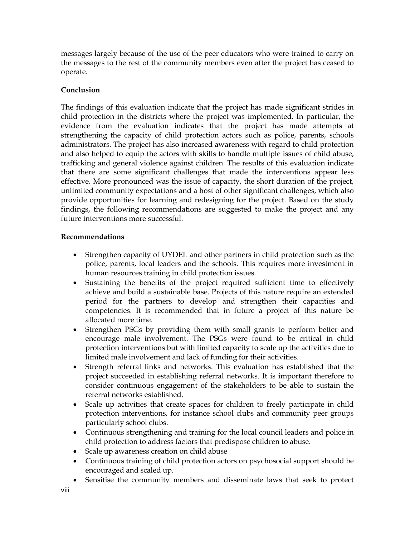messages largely because of the use of the peer educators who were trained to carry on the messages targery securies of the case of the poet characters who were trained to early on operate.

### **Conclusion**

The findings of this evaluation indicate that the project has made significant strides in child protection in the districts where the project was implemented. In particular, the evidence from the evaluation indicates that the project has made attempts at strengthening the capacity of child protection actors such as police, parents, schools administrators. The project has also increased awareness with regard to child protection and also helped to equip the actors with skills to handle multiple issues of child abuse, trafficking and conoral violonce against children. The results of this evaluation indicate trafficking and general violence against children. The results of this evaluation indicate that there are some significant challenges that made the interventions appear less effective. More pronounced was the issue of capacity, the short duration of the project, unlimited community expectations and a best of other significant challenges, which also unlimited community expectations and a host of other significant challenges, which also provide opportunities for learning and redesigning for the project. Based on the study findings, the following recommendations are suggested to make the project and any future interventions more successful.

### **Recommendations**

- Strengthen capacity of UYDEL and other partners in child protection such as the  $\bullet$ police, parents, local leaders and the schools. This requires more investment in human resources training in child protection issues. human resources training in child protection issues.
- Sustaining the benefits of the project required sufficient time to effectively achieve and build asustainable base. Projects of this nature require an extended period for the partners to develop and strengthen their capacities and competencies. It is recommended that in future a project of this nature be allocated more time. allocated more time.
- Strengthen PSGs by providing them with small grants to perform better and  $\bullet$ encourage male involvement. The PSGs were found to be critical in child protection interventions but with limited capacity to scale up the activities due to<br>limited male involvement and lack of funding for their activities. limited male involvement and lack of funding for their activities.
- Strength referral links and networks. This evaluation has established that the project succeeded in establishing referral networks. It is important therefore to consider continuous engagement of the stakeholders to be able to sustain the networks established. referral networks established.
- Scale up activities that create spaces for children to freely participate in child protection interventions, for instance school clubs and community peer groups<br>particularly school clubs. particularly school clubs.
- Continuous strengthening and training for the local council leaders and police in child protection to address factors that predispose children to abuse. child protection to address factors that predispose children to abuse.
- Scale up awareness creation on child abuse
- Continuous training of child protection actors on psychosocial support should be<br>encouraged and scaled up. encouraged and scaled up.
- Sensitise the community members and disseminate laws that seek to protect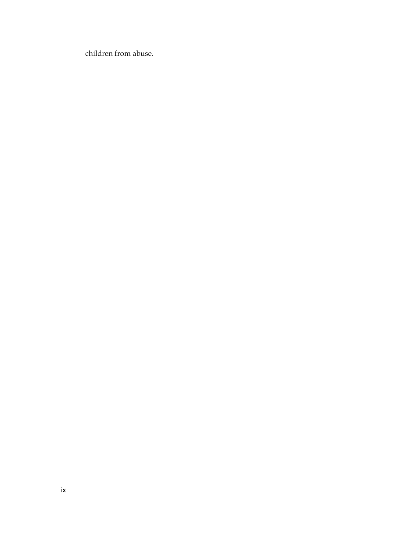children from abuse.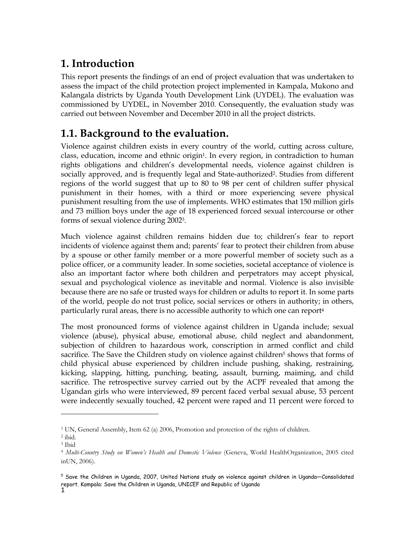# **1. Introduction**

This report presents the findings of an end of project evaluation that was undertaken to assess the impact of the child protection project implemented in Kampala, Mukono and Kalangala districts by Uganda Youth Development Link (UYDEL). The evaluation was commissioned by UYDEL, in November 2010. Consequently, the evaluation study was carried out between November and December 2010 in all the project districts.

# **1.1. Background to the evaluation.**

Violence against children exists in every country of the world, cutting across culture, class, education, income and othnic original. In every region, in contradiction to human class, education, income and ethnic origin<sup>1</sup>. In every region, in contradiction to human rights obligations and childrenís developmental needs, violence against children is socially approved, and is frequently legal and State-authorized2. Studies from different regions of the world suggest that up to 80 to 98 per cent of children suffer physical punishment in their homes, with a third or more experiencing severe physical punishment resulting from the use of implements. WHO estimates that 150 million girls and 73 million boys under the age of 18 experienced forced sexual intercourse or other forms of sexual violence during 2002<sup>3</sup>.

Much violence against children remains hidden due to; childrenís fear to report incidents of violence against them and; parentsí fear to protect their children from abuse by a spouse or other family member or a more powerful member of society such as a police officer, or a community leader. In some societies, societal acceptance of violence is also an important factor where both children and perpetrators may accept physical, sexual and perpetrators may accept physical, sexual and psychological violence as inevitable and normal. Violence is also invisible because there are no safe or trusted ways for children or adults to report it. In some parts of the world, people do not trust police, social services or others in authority; in others, particularly rural areas, there is no accessible authority to which one can report 4 rural areas, there is no accessible authority to which one can report<sup>4</sup>

The most pronounced forms of violence against children in Uganda include; sexual violence (abuse), physical abuse, emotional abuse, child neglect and abandonment, subjection of children to hazardous work, conscription in armod conflict and child subjection of children to hazardous work, conscription in armed conflict and child sacrifice. The Save the Children study on violence against children<sup>5</sup> shows that forms of child physical abuse experienced by children include pushing, shaking, restraining, kicking, clapping, hitting, purching, boting, assault, burning, maiming, and child kicking, slapping, hitting, punching, beating, assault, burning, maiming, and child sacrifice. The retrospective survey carried out by the ACPF revealed that among the Ugandan girls who were interviewed, 89 percent faced verbal sexual abuse, 53 percent were indecently sexually touched, 42 percent were raped and 11 percent were forced to

 $\frac{1}{2}$ <sup>1</sup> UN, General Assembly, Item 62 (a) 2006. Promotion and protection of the rights of children.

 $\frac{2}{3}$ ibid.<br> $\frac{3}{3}$ Ibid.

 $^3$ Ibid

*Multi-Country Study on Womenís Health and Domestic Violence* (Geneva, World HealthOrganization, <sup>2005</sup> cited inUN, 2006).

 $^5$  Save the Children in Uganda, 2007, United Nations study on violence against children in Uganda–Consolidated report. Kampala: Save the Children in Uganda, UNICEF and Republic of Uganda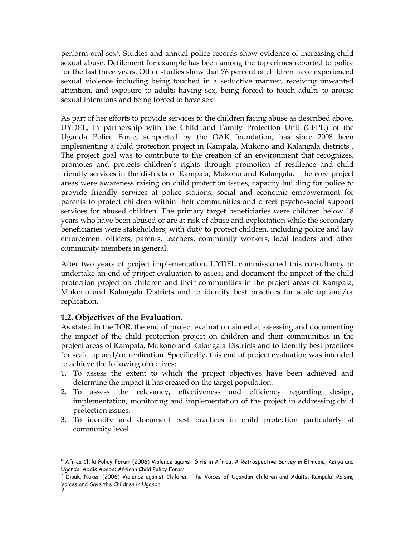perform oral sex6. Studies and annual police records show evidence of increasing child sexual abuse, Defilement for example has been among the top crimes reported to police for the last three years. Other studies show that 76 percent of children have experienced sexual violence including being touched in a seductive manner, receiving unwanted attention, and exposure to adults having sex, being forced to touch adults to arouse sexual intentions and being forced to have sex<sup>7</sup>.

As part of her efforts to provide services to the children facing abuse as described above,<br>UNDEL, in partnership with the Child, and Family Protection Unit (CEPU) of the UYDEL, in partnership with the Child and Family Protection Unit (CFPU) of the Uganda Police Force, supported by the OAK foundation, has since 2008 been Explana Tence Terre, explored by the CTR Technician, has since 2000 been implementing a child protection project in Kampala, Mukono and Kalangala districts . The project coal was to contribute to the creation of an environ The project goal was to contribute to the creation of an environment that recognizes, promotes and protects children's rights through promotion of resilience and child friendly services in the districts of Kampala, Mukono and Kalangala. The core project areas were awareness raising on child protection issues, capacity building for police to provide friendly services at police stations, social and economic empowerment for parents to protect children within their communities and direct psycho-social support services for abused children. The primary target beneficiaries were children below 18 years who have been abused or are atrisk of abuse and exploitation while the secondary beneficiaries were stakeholders, with duty to protect children, including police and law enforcement officers, parents, teachers, community workers, local leaders and other community members in general.

After two years of project implementation, UYDEL commissioned this consultancy to undertake an end of project evaluation to assess and document the impact of the child protection project on children and their communities in the project areas of Kampala,<br>Mukono and Kalangala Districts and to identify best practices for scale up and/or Mukono and Kalangala Districts and to identify best practices for scale up and/or replication.

# **1.2. Objectives of the Evaluation.** As

As stated in the TOR, the end of project evaluation aimed at assessing and documenting the impact of the child protection project on children and their communities in the project areas of Kampala, Mukono and Kalangala Districts and to identify best practices for scale up and/or replication. Specifically, this end of project evaluation was intended to achieve the following objectives;

- 1. To assess the extent to which the project objectives have been achieved and determine the impact it has created on the target population.<br>
2. To assess the relevancy effectiveness and efficiency
- 2. To assess the relevancy, effectiveness and efficiency regarding design, implementation, monitoring and implementation of the project in addressing child meridiansels, mer<br>protection issues.<br>3. To identify and de
- To identify and document best practices in child protection particularly at community level.

<sup>6</sup> Africa Child Policy Forum (2006) Violence against Girls in Africa, A Retrospective Survey in Ethiopia, Kenya and Uganda. Addis Ababa: African Child Policy Forum

<sup>7</sup> Dipak, Naker (2006) Violence against Children: The Voices of Ugandan Children and Adults. Kampala: Raising Voices and Save the Children in Uganda.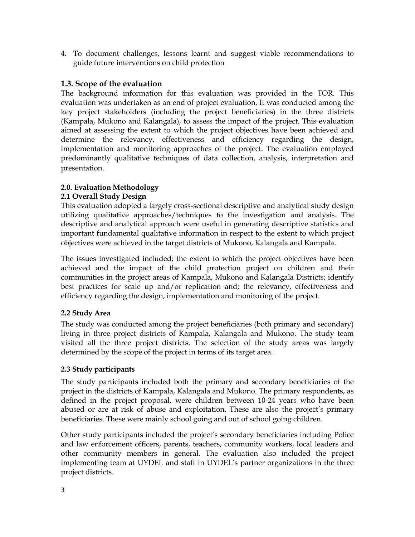4. To document challenges, lessons learnt and suggest viable recommendations to guide future interventions on child protection

### **1.3. Scope of the evaluation**

The background information for this evaluation was provided in the TOR. This evaluation was undertaken as an end of project evaluation. It was conducted among the key project stakeholders (including the project beneficiaries) in the three districts (Kampala, Mukono and Kalangala), to assess the impact of the project. This evaluation aimed at assessing the extent to which the project objectives have been achieved and determine the relevancy, effectiveness and efficiency regarding the design, implementation and monitoring approaches of the project. The evaluation employed implementation and monitoring approaches of the project. The evaluation employed predominantly qualitative techniques of data collection, analysis, interpretation and presentation.

### **2.0. Evaluation Methodology**

### **2.1 Overall Study Design**

This evaluation adopted alargely cross-sectional descriptive and analytical study design utilizing qualitative approaches/techniques to the investigation and analysis. The descriptive and analytical approach were useful in generating descriptive statistics and important fundamental qualitative information in respect to the extent to which project objectives were achieved in the target districts of Mukono, Kalangala and Kampala.

The issues investigated included; the extent to which the project objectives have been achieved and the impact of the child protection project on children and their communities in the project areas of Kampala, Mukono and Kalangala Districts; identify best practices for scale up and/or replication and: the relevancy, effectiveness and efficiency regarding the design, implementation and monitoring of the project.

### **2.2 Study Area**

The study was conducted among the project beneficiaries (both primary and secondary) living in three project districts of Kampala, Kalangala and Mukono. The study team visited all the three project districts. The selection of the study areas was largely determined by the scope of the project in terms of its target area.

### **2.3 Study participants**

The study participants included both the primary and secondary beneficiaries of the project in the districts of Kampala, Kalangala and Mukono. The primary respondents, as defined in the project proposal, were children between 10-24 years who have been abused or are at risk of abuse and exploitation. These are also the project's primary beneficiaries. These were mainly school going and out of school going children.

3Other study participants included the projectís secondary beneficiaries including Police and law enforcement officers, parents, teachers, community workers, local leaders and other community members in general. The evaluation also included the project implementing team at UYDEL and staff in UYDELís partner organizations in the three project districts.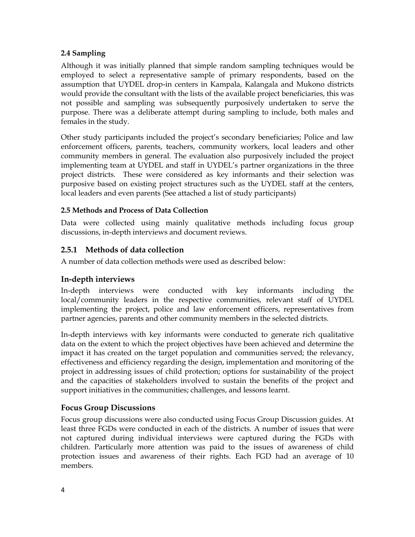### **2.4 Sampling**

Although it was initially planned that simple random sampling techniques would be employed to select a representative sample of primary respondents, based on the assumption that UYDEL drop-in centers in Kampala, Kalangala and Mukono districts would provide the consultant with the lists of the available project beneficiaries, this was not possible and sampling was subsequently purposively undertaken to serve the purpose. There was a deliberate attempt during sampling to include, both males and females in the study.

Other study participants included the projectís secondary beneficiaries; Police and law enforcement officers, parents, teachers, community workers, local leaders and other community members in general. The evaluation also purposively included the project implementing team at UYDEL and staff in UYDELís partner organizations in the three project districts. These were considered as key informants and their selection was purposive based on existing project structures such as the UYDEL staff at the centers, local local padors and oven parents (See attached a list of study participants). local leaders and even parents (See attached a list of study participants)

### **2.5 Methods and Process of Data Collection**

Data were collected using mainly qualitative methods including focus group discussions, in-depth interviews and document reviews.

### **2.5.1 Methods of data collection**

A number of data collection methods were used as described below:

### **In-depth interviews**

In-depth interviews were conducted with key informants including the local/community leaders in the respective communities, relevant staff of UYDEL implementing the project, police and law enforcement officers, representatives from partner agencies, parents and other community members in the selected districts.

In-depth interviews with key informants were conducted to generate rich qualitative data on the extent to which the project objectives have been achieved and determine the impact it has created on the target population and communities served; the relevancy, effectiveness and efficiency recarding the design implementation and menitoring of the effectiveness and efficiency regarding the design, implementation and monitoring of the project in addressing issues of child protection; options for sustainability of the project and the capacities of stakeholders involved to sustain the benefits of the project and support initiatives in the communities; challenges, and lessons learnt.

### **Focus Group Discussions**

<sup>14</sup> Focus group discussions were also conducted using Focus Group Discussion guides. At least three FGDs were conducted in each of the districts. A number of issues that were not captured during individual interviews were captured during the FGDs with children. Particularly more attention was paid to the issues of awareness of child protection issues and awareness of their rights. Each FGD had an average of 10 members.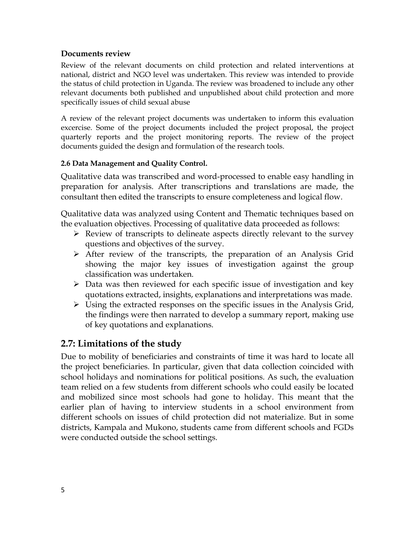### **Documents review**

Review of the relevant documents on child protection and related interventions at national, district and NGO level was undertaken. This review was intended to provide the status of child protection in Uganda. The review was broadened to include any other relevant documents both published and unpublished about child protection and more specifically issues of child sexual abuse

A review of the relevant project documents was undertaken to inform this evaluation excercise. Some of the project documents included the project proposal, the project quarterly reports and the project monitoring reports. The review of the project documents guided the design and formulation of the research tools.

### **2.6 Data Management and Quality Control.**

Qualitative data was transcribed and word-processed to enable easy handling in preparation for analysis. After transcriptions and translations are made, the consultant then edited the transcripts to ensure completeness and logical flow.

Qualitative data was analyzed using Content and Thematic techniques based on the evaluation objectives. Processing of qualitative data proceeded as follows:

- $\triangleright$  Review of transcripts to delineate aspects directly relevant to the survey questions and objectives of the survey.
- $\triangleright$  After review of the transcripts, the preparation of an Analysis Grid showing the major key issues of investigation against the group classification was undertaken.
- $\triangleright$  Data was then reviewed for each specific issue of investigation and key quotations extracted, insights, explanations and interpretations was made.
- $\triangleright$  Using the extracted responses on the specific issues in the Analysis Grid, the findings were then narrated to develop a summary report, making use of key quotations and explanations.

## **2.7: Limitations of the study**

 $\overline{a}$ Due to mobility of beneficiaries and constraints of time it was hard to locate all the project beneficiaries. In particular, given that data collection coincided with school holidays and nominations for political positions. As such, the evaluation team relied on a few students from different schools who could easily be located and mobilized since most schools had gone to holiday. This meant that the earlier plan of having to interview students in a school environment from different schools on issues of child protection did not materialize. But in some districts, Kampala and Mukono, students came from different schools and FGDs were conducted outside the school settings.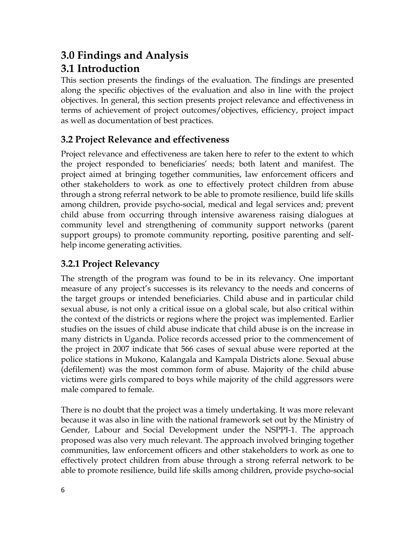## **3.0 Findings and Analysis 3.1 Introduction**

This section presents the findings of the evaluation. The findings are presented along the specific objectives of the evaluation and also in line with the project objectives. In general, this section presents project relevance and effectiveness in terms of achievement of project outcomes/objectives, efficiency, project impact as well as documentation of best practices.

## **3.2 Project Relevance and effectiveness**

Project relevance and effectiveness are taken here to refer to the extent to which the project responded to beneficiariesí needs; both latent and manifest. The project aimed at bringing together communities, law enforcement officers and other stakeholders to work as one to effectively protect children from abuse through a strong referral network to be able to promote resilience, build life skills among children, provide psycho-social, medical and legal services and; prevent child abuse from occurring through intensive awareness raising dialogues at community level and strengthening of community support networks (parent support groups) to promote community reporting, positive parenting and self-<br>help income concrating activities help income generating activities.

# **3.2.1 Project Relevancy**

The strength of the program was found to be in its relevancy. One important measure of any project's successes is its relevancy to the needs and concerns of the target groups or intended beneficiaries. Child abuse and in particular child sexual abuse, is not only a critical issue on a global scale, but also critical within the context of the districts or regions where the project was implemented. Earlier studies on the issues of child abuse indicate that child abuse is on the increase in many districts in Uganda. Police records accessed prior to the commencement of the project in 2007 indicate that 566 cases of sexual abuse were reported at the police stations in Mukono, Kalangala and Kampala Districts alone. Sexual abuse (defilement) was the most common form of abuse. Majority of the child abuse victims were girls compared to boys while majority of the child aggressors were male compared to female.

6Gender, Labour and Social Development under the NSPPI-1. The approach There is no doubt that the project was a timely undertaking. It was more relevant because it was also in line with the national framework set out by the Ministry of proposed was also very much relevant. The approach involved bringing together communities, law enforcement officers and other stakeholders to work as one to effectively protect children from abusethrough a strong referral network to be able to promote resilience, build life skills among children, provide psycho-social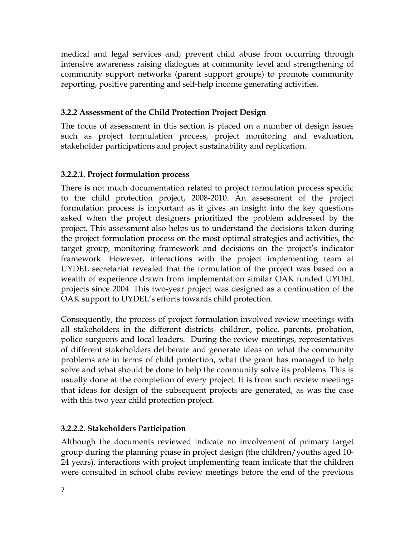medical and legal services and; prevent child abuse from occurring through intensive awareness raising dialogues at community level and strengthening of community support networks (parent support groups) to promote community reporting, positive parenting and self-help income generating activities.

### **3.2.2 Assessment of the Child Protection Project Design**

The focus of assessment in this section is placed on a number of design issues such as project formulation process, project monitoring and evaluation, stakeholder participations and project sustainability and replication. stakeholder participations and project sustainability and replication.

### **3.2.2.1. Project formulation process**

There is not much documentation related to project formulation process specific to the child protection project, 2008-2010. An assessment of the project formulation process is important as it gives an insight into the key questions asked when the project designers prioritized the problem addressed by the project. This assessment also helps us to understand the decisions taken during the project formulation process on the most optimal strategies and activities, the target group, monitoring framework and decisions on the projectís indicator framework. However, interactions with the project implementing team at UYDEL secretariat revealed that the formulation of the project was based on a wealth of experience drawn from implementation similar OAK funded UYDEL projects since 2004. This two-year project was designed as a continuation of the OAK support to UYDELís efforts towards child protection.

Consequently, the process of project formulation involved review meetings with all stakeholders in the different districts- children, police, parents, probation, police surgeons and local leaders. During the review meetings representatives. police surgeons and local leaders. During the review meetings, representatives of different stakeholders deliberate and generate ideas on what the community problems are in terms of child protection, what the grant has managed to help solve and what should be done to help the community solve its problems. This is usually done atthe completion of every project. It is from such review meetings that ideas for design of the subsequent projects are generated, as was the case with this two year child protection project.

#### $\cup$ **3.2.2.2. Stakeholders Participation**

Although the documents reviewed indicate no involvement of primary target group during the planning phase in project design (the children/youths aged 10-<br>24 years) interactions with project implementing team indicate that the children 24 years), interactions with project implementing team indicate that the children were consulted in school clubs review meetings before the end of the previous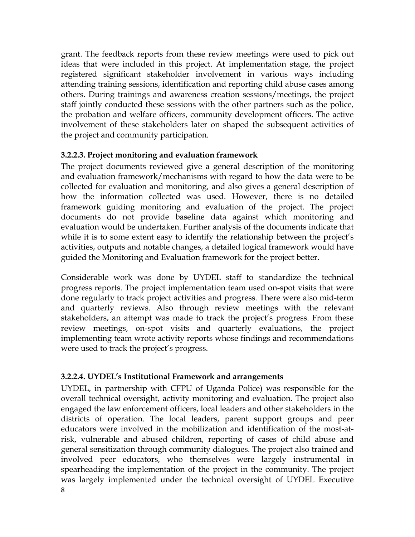grant. The feedback reports from these review meetings were used to pick out ideas that were included in this project. At implementation stage, the project registered significant stakeholder involvement in various ways including attending training sessions, identification and reporting child abuse cases among others. During trainings and awareness creation sessions/meetings, the project staff jointly conducted these sessions with the other partners such as the police, the probation and welfare officers, community development officers. The active the probation and welfare officers, community development officers. The active involvement of these stakeholders later on shaped the subsequent activities of the project and community participation.

## **3.2.2.3. Project monitoring and evaluation framework**

The project documents reviewed give a general description of the monitoring and evaluation framework/mechanisms with regard to how the data were to be collected for evaluation and monitoring, and also gives a general description of how the information collected was used. However, there is no detailed framework guiding monitoring and evaluation of the project. The project documents do not provide baseline data against which monitoring and evaluation would be undertaken. Further analysis of the documents indicate that while it is to some extent easy to identify the relationship between the project's while it is to some ontert carry to incriming the remainding providers the project's activities, outputs and notable changes, a detailed logical framework would have guided the Monitoring and Evaluation framework for the project better.

Considerable work was done by UYDEL staff to standardize the technical progress reports. The project implementation team used on-spot visits that were done regularly to track project activities and progress. There were also mid-term and quarterly reviews. Also through review meetings with the relevant stakeholders, an attempt was made to track the projectís progress. From these review meetings, on-spot visits and quarterly evaluations, the project implementing team wrote activity reports whose findings and recommendations mentering computed activity reports on<br>were used to track the project's progress.

## **3.2.2.4. UYDELís Institutional Framework and arrangements**

 $\epsilon$ UYDEL, in partnership with CFPU of Uganda Police) was responsible for the overall technical oversight, activity monitoring and evaluation. The project also engaged the law enforcement officers, local leaders and other stakeholders in the districts of operation. The local leaders, parent support groups and peer educators were involved in the mobilization and identification of the most-at-<br>risk, vulnerable and abused children, reporting of cases of child abuse and risk, vulnerable and abused children, reporting of cases of child abuse and general sensitization through community dialogues. The project also trained and involved peer educators, who themselves were largely instrumental in spearheading the implementation of the project in the community. The project was largely implemented under the technical oversight of UYDEL Executive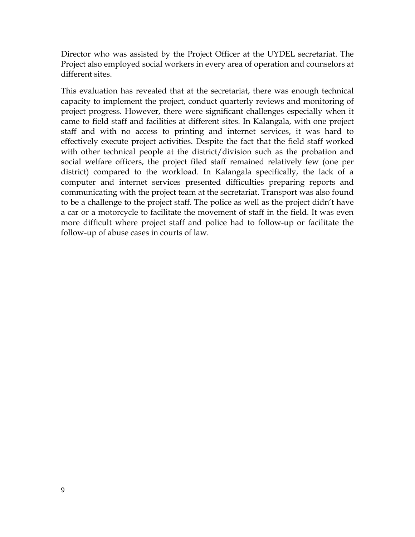Director who was assisted by the Project Officer at the UYDEL secretariat. The Project also employed social workers in every area of operation and counselors at different sites.

This evaluation has revealed that at the secretariat, there was enough technical capacity to implement the project, conduct quarterly reviews and monitoring of project progress. However, there were significant challenges especially when it came to field staff and facilities at different sites. In Kalangala, with one project staff and with no access to printing and internet services, it was hard to effectively execute project activities. Despite the fact that the field staff worked with other technical people at the district/division such as the probation and social welfare officers, the project filed staff remained relatively few (one per district) compared to the workload. In Kalangala specifically, the lack of a computer and internet services presented difficulties preparing reports and compared with much better the projection announce propulling reports and communicating with the project team at the secretariat. Transport was also found to be a challenge to the project staff. The police as well as the project didnít have a car or a motorcycle to facilitate the movement of staff in the field. It was even more difficult where project staff and police had to follow-up or facilitate the follow-up of abuse cases in courts of law.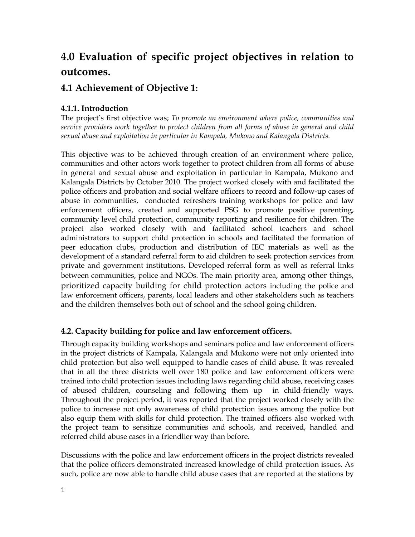# **4.0 Evaluation of specific project objectives in relation to outcomes.**

## **4.1 Achievement of Objective 1:**

### **4.1.1. Introduction**

The projectís first objective was; *To promote an environment where police, communities and service providers work together to protect children from all forms of abuse in general and child sexual abuse and exploitation in particular in Kampala, Mukono and Kalangala Districts.*

This objective was to be achieved through creation of an environment where police, communities and other actors work together to protect children from all forms of abuse communities and other actors work together to protect children from all forms of abuse in general and sexual abuse and exploitation in particular in Kampala, Mukono and Kalangala Districts by October 2010. The project worked closely with and facilitated the police officers and probation and social welfare officers to record and follow-up cases of abuse in communities, conducted refreshers training workshops for police and law enforcement officers, created and supported PSG to promote positive parenting, community lovel child protection community reporting and recilience for children. The community level child protection, community reporting and resilience for children. The project also worked closely with and facilitated school teachers and school administrators to support child protection in schools and facilitated the formation of peer education clubs, production and distribution of IEC materials as well as the development of a standard referral form to aid children to seek protection services from private and government institutions. Developed referral form as well as referral links between communities, police and NGOs. The main priority area, among other things, prioritized capacity building for child protoction actors including the police and prioritized capacity building for child protection actors including the police and law enforcement officers, parents, local leaders and other stakeholders such as teachers and the children themselves both out of school and the school going children.

### **4.2. Capacity building for police and law enforcement officers.**

Inceproject team to sensitize communities and senools, a Through capacity building workshops and seminars police and law enforcement officers in the project districts of Kampala, Kalangala and Mukono were not only oriented into child protection but also well equipped to handle cases of child abuse. It was revealed that in all the three districts well over 180 police and law enforcement officers were trained into child protection issues including laws regarding child abuse, receiving cases of abused children, counseling and following them up in child-friendly ways.<br>Throughout the project period, it was reported that the project worked closely with the Throughout the project period, it was reported that the project worked closely with the police to increase not only awareness of child protection issues among the police but pense to mercies from entry anniverses of stata protection issues among the pense summer and protection. the project team to sensitize communities and schools, and received, handled and

Discussions with the police and law enforcement officers in the project districts revealed that the police officers demonstrated increased knowledge of child protection issues. As such, police are now able to handle child abuse cases that are reported at the stations by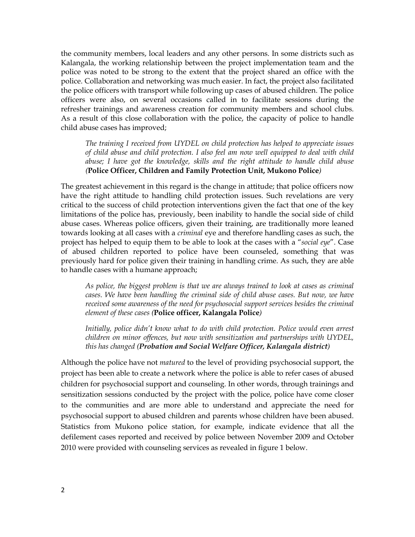the community members, local leaders and any other persons. In some districts such as Kalangala, the working relationship between the project implementation team andthe police was noted to be strong to the extent that the project shared an office with the police. Collaboration and networking was much easier. In fact, the project also facilitated the police officers with transport while following up cases of abused children. The police officers were also, on several occasions called in to facilitate sessions during the refresher trainings and awareness creation for community members and school clubs.<br>As a result of this close collaboration with the police, the capacity of police to bandle As a result of this close collaboration with the police, the capacity of police to handle child abuse cases has improved;

*The training I received from UYDEL on child protection has helped to appreciate issues of child abuse and child protection. I also feel am now well equipped to deal with child abuse; I have got the knowledge, skills and the right attitude to handle child abuse (***Police Officer, Children and Family Protection Unit, Mukono Police***)*

The greatest achievement in this regard is the change in attitude; that police officers now have the right attitude to handling child protection issues. Such revelations are very critical to the success of child protection interventions given the fact that one of the key limitations of the police has, previously, been inability to handle the social side of child abuse cases. Whereas police officers, given their training, are traditionally more leaned towards looking at all cases with a *criminal* eye and therefore handling cases as such, the project has helped to equip them to be able to look at the cases with a ì*social eye*î. Case of abused children reported to police have been counseled, something that was previously hard for police given their training in handling crime. As such, they are able to handle cases with a humane approach;

*As police, the biggest problem is that we are always trained to look at cases as criminal cases. We have been handling the criminal side of child abuse cases. But now, we have received some awareness of the need for psychosocial support services besides the criminal element of these cases (***Police officer, Kalangala Police***)*

*Initially, police didnít know what to do with child protection. Police would even arrest children on minor of ences, but now with sensitization and partnerships with UYDEL, thishas changed (Probation and Social Welfare Officer, Kalangala district)*

2defilement cases reported and received by police between November 2009 and October Although the police have not *matured* to the level of providing psychosocial support, the project has been able to create a network where the police is able to refer cases of abused children for psychosocial support and counseling. In other words, through trainings and sensitization sessions conducted by the project with the police, police have come closer to the communities and are more able to understand and appreciate the need for psychosocial support to abused children and parents whose children have been abused. Statistics from Mukono police station, for example, indicate evidence that all the 2010 were provided with counseling services as revealed in figure 1 below.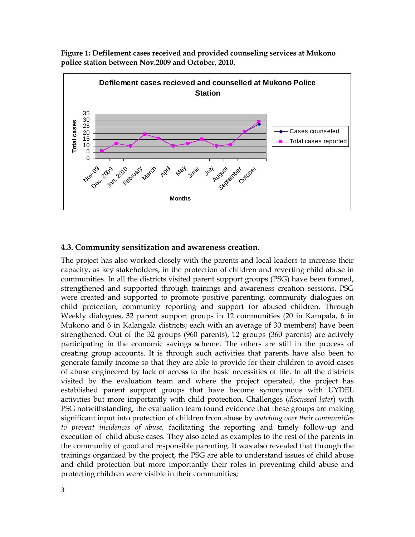**Figure 1: Defilement cases received and provided counseling services at Mukono police station between Nov.2009 and October, 2010.**



### **4.3. Community sensitization and awareness creation.**

 $\omega$  precinct memerics by mone, including the reporting that timely follow up that<br>execution of child abuse cases. They also acted as examples to the rest of the parents in The project has also worked closely with the parents and local leaders to increase their capacity, as key stakeholders, in the protection of children and reverting child abuse in communities. In all the districts visited parent support groups (PSG) have been formed, strengthened and supported through trainings and awareness creation sossions. PSC strengthened and supported through trainings and awareness creation sessions. PSG were created and supported to promote positive parenting, community dialogues on child protection, community reporting and support for abused children. Through Weekly dialogues, 32 parent support groups in 12 communities (20 in Kampala, 6 in Mukono and 6in Kalangala districts; each with an average of 30 members) have been strengthened. Out of the 32 groups (960 parents), 12 groups (360 parents) are actively participating in the economic savings scheme. The others are still in the process of creating group accounts. It is through such activities that parents have also been to generate family income so that they are able to provide for their children to avoid cases of abuse engineered by lack of access to the basic necessities of life. In all the districts visited by the evaluation team and where the project operated, the project has established parent support groups that have become synonymous with UYDEL activities but more importantly with child protection. Challenges (*discussed later*) with PSG notwithstanding, the evaluation team found evidence that these groups are making significant input into protection of children from abuse by *watching over their communities to prevent incidences of abuse,* facilitating the reporting and timely follow-up and the community of good and responsible parenting. It was also revealed that through the trainings organized by the project, the PSG are able to understand issues of child abuse and child protection but more importantly their roles in preventing child abuse and protecting children were visible in their communities;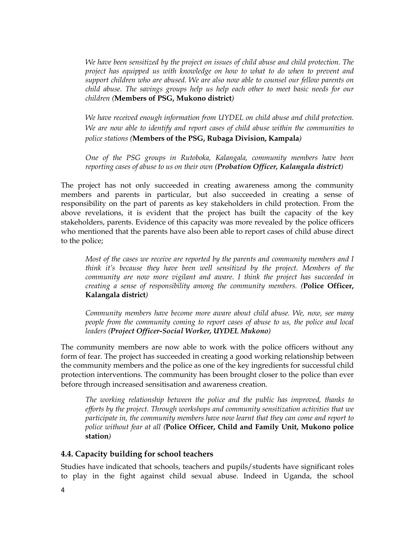*We have been sensitized by the project on issues of child abuse and child protection. The project has equipped us with knowledge on how to what to do when to prevent and support children who are abused. We are also now able to counsel our fellow parents on child abuse. The savings groups help us help each other to meet basic needs for our children (***Members of PSG, Mukono district***)*

*We have received enough information from UYDEL on child abuse and child protection. We are now able to identify and report cases of child abuse within the communities to police stations (***Members of the PSG, Rubaga Division, Kampala***)*

*One of the PSG groups in Rutoboka, Kalangala, community members have been reporting cases of abuse to us on their own (Probation Officer, Kalangala district)*

The project has not only succeeded in creating awareness among the community members and parents in particular, but also succeeded in creating a sense of responsibility on the part of parents as key stakeholders in child protection. From the above revelations, it is evident that the project has built the capacity of the key stakeholders, parents. Evidence of this capacity was more revealed by the police officers who mentioned that the parents have also been able to report cases of child abuse direct to the police;

*Most of the cases we receive are reported by the parents and community members and I think itís because they have been well sensitized by the project. Members of the community are now more vigilant and aware. I think the project has succeeded in creating <sup>a</sup> sense of responsibility among the community members. (***Police Officer, Kalangala**Kalangala district)

*Community members have become more aware about child abuse. We, now, see many people from the community coming to report cases of abuse to us, the police and local leaders (Project Officer-Social Worker, UYDEL Mukono)*

The community members are now able to work with the police officers without any form of fear. The project has succeeded in creating a good working relationship between the community members and the police as one of the key ingredients for successful child protection interventions. The community has been brought closer to the police than ever before through increased sensitisation and awareness creation.

*The working relationship between the police and the public has improved, thanks to ef orts by the project. Through workshops and community sensitization activities that we participate in, the community members have now learnt that they can come and report to police without fear at all (***Police Officer, Child and Family Unit, Mukono police station***)*

### **4.4. Capacity building for school teachers**

Studies have indicated that schools, teachers and pupils/students have significant roles to play in the fight against child sexual abuse. Indeed in Uganda, the school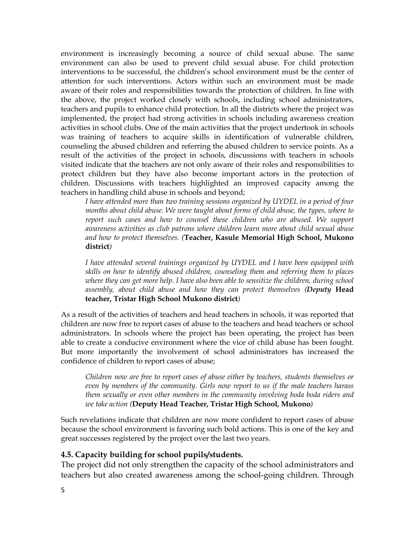environment is increasingly becoming a source of child sexual abuse. The same environment can also be used to prevent child sexual abuse. For child protection interventions to be successful, the childrenís school environment must be the center of attention for such interventions. Actors within such an environment must be made aware of their roles and responsibilities towards the protection of children. In line with the above, the project worked closely with schools, including school administrators, teachers and pupils to ophance child protection. In all the districts where the project was teachers and pupils to enhance child protection. In all the districts where the project was implemented, the project had strong activities in schools including awareness creation activities in school clubs. One of the main activities that the project undertook in schools was training of teachers to acquire skills in identification of vulnerable children, counseling the abused children and referring the abused children to service points. As a counseling the abused children and referring the abused children to service points. As a result of the activities of the project in schools, discussions with teachers in schools visited indicate that the teachers are not only aware of their roles and responsibilities to protect children but they have also become important actors in the protection of children. Discussions with teachers highlighted an improved capacity among the teachers in handling child abuse in schools and beyond;

*I have attended more than two training sessions organized by UYDEL in a period of four months about child abuse. We were taught about forms of child abuse, the types, where to report such cases and how to counsel these children who are abused. We support awareness activities as club patrons where children learn more about child sexual abuse and how to protect themselves. (***Teacher, Kasule Memorial High School, Mukono district***)*

*I have attended several trainings organized by UYDEL and I have been equipped with skills on how to identify abused children, counseling them and referring them to places where they can get more help. I have also been able to sensitize the children, during school assembly, about child abuse and how they can protect themselves (Deputy* **Head teacher, Tristar High School Mukono district***)*

As a result of the activities of teachers and head teachers in schools, it was reported that children are now free to report cases of abuse to the teachers and head teachers or school administrators. In schools where the project has been operating, the project has been able to create a conducive environment where the vice of child abuse has been fought.<br>But more importantly the involvement of school administrators has increased the more importantly the involvement of school administrators has increased the confidence of children to report cases of abuse:

*Children now are free to report cases of abuse either by teachers, students themselves or even by members of the community. Girls now report to us if the male teachers harass them sexually or even other members in the community involving boda boda riders and we take action (***Deputy Head Teacher, Tristar High School, Mukono***)*

 $\overline{D}$ Such revelations indicate that children are now moreconfident to report cases of abuse because the school environment is favoring such bold actions. This is one ofthe key and greates are sensor environment to involving such some actions. This great successes registered by the project over the last two years.

# **4.5. Capacity building for school pupils/students.** The

The project did not only strengthen the capacity of the school administrators and teachers but also created awareness among the school-going children. Through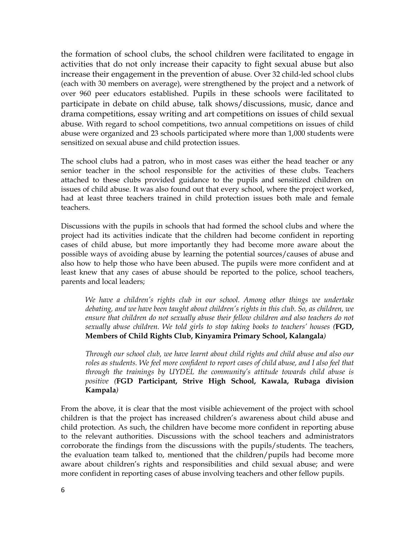the formation of school clubs, the school children were facilitated to engage in are remained by sensor energy are sensor enhanced were negatived to engage in increase their engagement in the prevention of abuse. Over 32 child-led school clubs (each with 30 members on average), were strengthened by the project and anetwork of over 960 peer educators established. Pupils in these schools were facilitated to participate in debate on child abuse, talk shows/discussions, music, dance and drama competitions, essay writing and art competitions on issues of child sexual abuse. With regard to school competitions, two annual competitions on issues of child abuse were organized and 23 schools participated where more than 1,000 students were sensitized on sexual abuse and child protection issues.

The school clubs had a patron, who in most cases was either the head teacher or any senior teacher in the school responsible for the activities of these clubs. Teachers attached to these clubs provided guidance to the pupils and sensitized children on issues of child abuse. It was also found out that every school, where the project worked, had at least three teachers trained in child protection issues both male and fomale had at least three teachers trained in child protection issues both male and female teachers.

Discussions with the pupils in schools that had formed the school clubs and where the project had its activities indicate that the children had become confident in reporting cases of child abuse, but more importantly they had become more aware about the possible ways of avoiding abuse by learning the potential sources/causes of abuse and also how to help those who have been abused. The pupils were more confident and at least knew that any cases of abuse should be reported to the police, school teachers, parents and local leaders: parents and local leaders;

*We have a childrenís rights club in our school. Among other things we undertake debating, and we have been taught about childrenís rights in this club. So, as children, we ensure that children do not sexually abuse their fellow children and also teachers do not sexually abuse children. We told girls to stop taking books to teachersí houses (***FGD, Membersof Child Rights Club, Kinyamira Primary School, Kalangala***)*

*Through our school club, we have learnt about child rights and child abuse and also our roles as students. We feel more confident to report cases of child abuse, and I also feel that through the trainings by UYDEL the communityís attitude towards child abuse is positive (***FGD Participant, Strive High School, Kawala, Rubaga division Kampala***)*

find protection. As such, the emitter have become more connuent in reporting abase<br>to the relevant authorities. Discussions with the school teachers and administrators From the above, it is clear that the most visible achievement of the project with school children is that the project has increased childrenís awareness about child abuse and child protection. As such, the children have become more confident in reporting abuse corroborate the findings from the discussions with the pupils/students. The teachers, the evolucion team talked to mentioned that the children (pupils had become more the evaluation team talked to, mentioned that the children/pupils had become more are commissed come matter to meet the above that the commissive present and child sexual abuse: and were more confident in reporting cases of abuse involving teachers and other fellow pupils.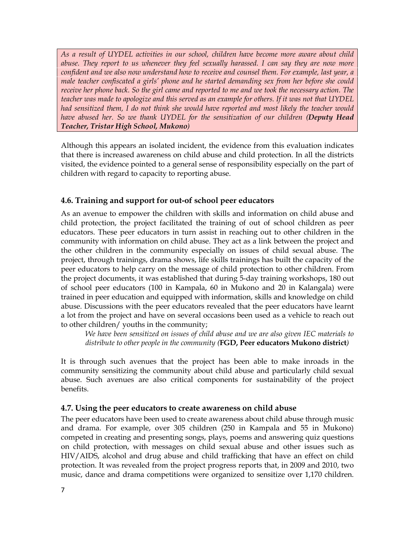*As a result of UYDEL activities in our school, children have become more aware about child abuse. They report to us whenever they feel sexually harassed. I can say they are now more confident and we also now understand how to receive and counsel them. For example, last year, a male teacher confiscated a girlsí phone and he started demanding sex from her before she could* receive her phone back. So the girl came and reported to me and we took the necessary action. The teacher was made to apologize and this served as an example for others. If it was not that UYDEL *had sensitized them, I do not think she would have reported and most likely the teacher would have abused her. So we thank UYDEL for the sensitization of our children (Deputy Head Teacher, Tristar High School, Mukono)*

Although this appears an isolated incident, the evidence from this evaluation indicates that there is increased awareness on child abuse and child protection. In all the districts visited, the evidence pointed to a general sense ofresponsibility especially on the part of children with regard to capacity to reporting abuse.

### **4.6. Training and support for out-of school peer educators**

As an avenue to empower the children with skills and information on child abuse and child protection, the project facilitated the training of out of school children as peer educators. These peer educators in turn assist in reaching out to other children in the community with information on child abuse. They act as a link between the project and the other children in the community especially on issues of child sexual abuse. The project, through trainings, drama shows, life skills trainings has built the capacity of the peer educators to help carry on the message of child protection to other children. From the project documents, it was established that during 5-day training workshops, 180 out of school peer educators (100 in Kampala, 60 in Mukono and 20 in Kalangala) were trained in peer education and equipped with information, skills and knowledge on child abused in performanced that equipped with the continuously shall that the vectors have learnt abuse. Discussions with the peer educators revealed that the peer educators have learnt as as *B* B B Castrollow that the poet called the called that the poet called the collection of the reach out to other children/ youths in the community;

*We have been sensitized on issues of child abuse and we are also given IEC materials to distribute to other people in the community (***FGD, Peer educators Mukono district***)*

It is through such avenues that the project has been able to make inroads in the community sensitizing the community about child abuse and particularly child sexual abuse. Such avenues are also critical components for sustainability of the project benefits.

### **4.7. Using the peer educators to create awareness on child abuse**

a The peer educators have been used to create awareness about child abuse through music and drama. For example, over 305 children (250 in Kampala and 55 in Mukono) competed in creating and presenting songs, plays, poems and answering quiz questions on child protection, with messages on child sexual abuse and other issues such as HIV/AIDS, alcohol and drug abuse and child trafficking that have an effect on child protection. It was revealed from the project progress reports that, in 2009 and 2010, two music, dance and drama competitions were organized to sensitize over 1,170 children.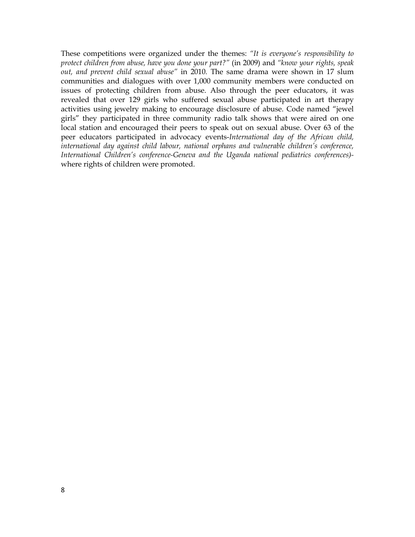These competitions were organized under the themes: *ìIt is everyoneís responsibility to protect children from abuse, have you done your part?î* (in 2009) and *ìknow your rights, speak out, and prevent child sexual abuseî* in 2010*.* The same drama were shown in 17 slum communities and dialogues with over 1,000 community members were conducted on issues of protecting children from abuse. Also through the peer educators, it was revealed that over 129 girls who suffered sexual abuse participated in art therapy activities using jewelry making to encourage disclosure of abuse. Code named "jewell" girls<sup>2</sup> they participated in three community radio talk shows that were aired on one local station and encouraged their peers to speak out on sexual abuse. Over 63 of the peer educators participated in advocacy events-*International day of the African child, international day against child labour, national orphans and vulnerable childrenís conference, International Childrenís conference-Geneva and the Uganda national pediatrics conferences)-* wherewhere rights of children were promoted.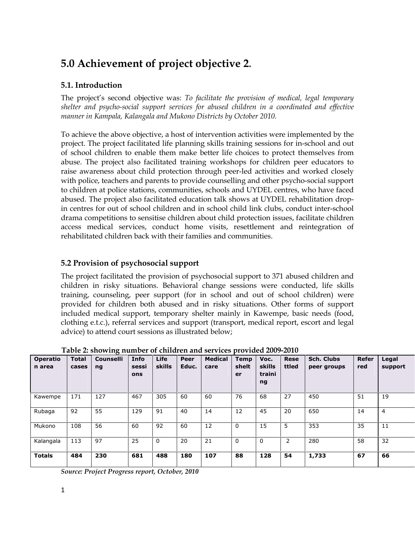# **5.0 Achievement of project objective <sup>2</sup>.**

### **5.1. Introduction**

The projectís second objective was: *To facilitate the provision of medical, legal temporary shelter and psycho-social support services for abused children in a coordinated and ef ective manner in Kampala, Kalangala and Mukono Districts by October 2010.*

To achieve the above objective, a host of intervention activities were implemented by the project. The project facilitated life planning skills training sessions for in-school and out of school children to enable them make better life choices to protect themselves from abuse. The project also facilitated training workshops for children peer educators to raise awareness about child protection through peer-led activities and worked closely with police, teachers and parents to provide counselling and other psycho-social support to children at police stations, communities, schools and UYDEL centres, who have faced abused. The project also facilitated education talk shows at UYDEL rehabilitation dropin centres for out of school children and in school child link clubs, conduct inter-school drama competitions to sensitise children about child protection issues, facilitate children access medical services, conduct home visits, resettlement and reintegration of rehabilitated children back with their families and communities.

### **5.2 Provision of psychosocial support**

The project facilitated the provision of psychosocial support to 371 abused children and children in risky situations. Behavioral change sessions were conducted, life skills training, counseling, peer support (for in school and out of school children) were provided for children both abused and in risky situations. Other forms of support included medical support, temporary shelter mainly in Kawempe, basic needs (food, clothing o t.c.) reformal sorvices and support (transport medical report oscort and local clothing e.t.c.), referral services and support (transport, medical report, escort and legal advice) to attend court sessions as illustrated below;

| <b>Operatio</b> | <b>Total</b> | <b>Counselli</b> | Info  | <b>Life</b> | Peer  | <b>Medical</b> | <b>Temp</b>  | Voc.     | <b>Rese</b> | <b>Sch. Clubs</b> | <b>Refer</b> | Legal   |
|-----------------|--------------|------------------|-------|-------------|-------|----------------|--------------|----------|-------------|-------------------|--------------|---------|
| n area          | cases        | ng               | sessi | skills      | Educ. | care           | shelt        | skills   | ttled       | peer groups       | red          | support |
|                 |              |                  | ons   |             |       |                | er           | traini   |             |                   |              |         |
|                 |              |                  |       |             |       |                |              | ng       |             |                   |              |         |
| Kawempe         | 171          | 127              | 467   | 305         | 60    | 60             | 76           | 68       | 27          | 450               | 51           | 19      |
| Rubaga          | 92           | 55               | 129   | 91          | 40    | 14             | 12           | 45       | 20          | 650               | 14           | 4       |
| Mukono          | 108          | 56               | 60    | 92          | 60    | 12             | $\mathbf{0}$ | 15       | 5           | 353               | 35           | 11      |
| Kalangala       | 113          | 97               | 25    | 0           | 20    | 21             | $\Omega$     | $\Omega$ | 2           | 280               | 58           | 32      |
| <b>Totals</b>   | 484          | 230              | 681   | 488         | 180   | 107            | 88           | 128      | 54          | 1,733             | 67           | 66      |

**Table 2: showing number of children and services provided 2009-2010 TotalCounselliInfoLifePeerTempRese**

*Source: Project Progress report, October, 2010*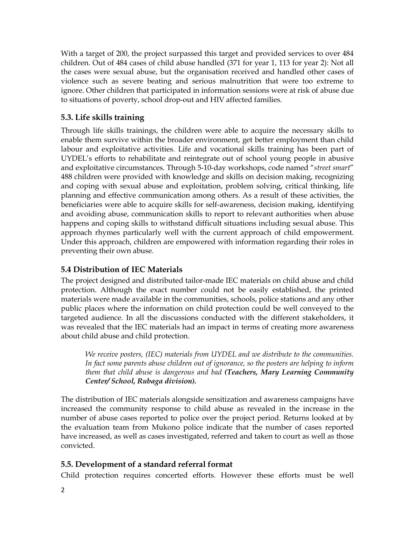With a target of 200, the project surpassed this target and provided services to over 484 children. Out of 484 cases of child abuse handled (371 for year 1,113 for year 2): Not all the cases were sexual abuse, but the organisation received and handled other cases of violence such as severe beating and serious malnutrition that were too extreme to ignore. Other children that participated in information sessions were atrisk of abuse due to situations of poverty, school drop-out and HIV affected families.

### **5.3. Life skills training**

Through life skills trainings, the children were able to acquire the necessary skills to enable them survive within the broader environment, get better employment than child labour and exploitative activities. Life and vocational skills training has been part of UYDELís efforts to rehabilitate and reintegrate out of school young people in abusive and exploitative circumstances. Through 5-10-day workshops, code named ì*street smart*î 488 children were provided with knowledge and skills on decision making, recognizing and coping with sexual abuse and exploitation, problem solving, critical thinking, life planning and effective communication among others. As a result of these activities, the beneficiaries were able to acquire skills for self-awareness, decision making, identifying and avoiding abuse, communication skills to report to relevant authorities when abuse happens and coping skills to withstand difficult situations including sexual abuse. This approach rhymes particularly well with the current approach of child empowerment.<br>Under this approach children are empowered with information regarding their reles in Under this approach, children are empowered with information regarding their roles in preventing their own abuse.

### **5.4 Distribution of IEC Materials**

The project designed and distributed tailor-made IEC materials on child abuse and child protection. Although the exact number could not be easily established, the printed materials were made available in the communities, schools, police stations and any other public places where the information on child protection could be well conveyed to the targeted audience. In all the discussions conducted with the different stakeholders, it was revealed that the IEC materials had an impact in terms of creating more awareness about child abuse and child protection.

*We receive posters, (IEC) materials from UYDEL and we distribute to the communities. In fact some parents abuse children outof ignorance, so the posters are helping to inform them that child abuse is dangerous and bad (Teachers, Mary Learning Community Center/ School, Rubaga division).*

ne evaluation team from makono police makate that the name of cases reported<br>have increased, as well as cases investigated, referred and taken to court as well as those The distribution of IEC materials alongside sensitization and awareness campaigns have increased the community response to child abuse as revealed in the increase in the number of abuse cases reported to police over the project period. Returns looked at by the evaluation team from Mukono police indicate that the number of cases reported convicted.

### **5.5. Development of a standard referral format**

Child protection requires concerted efforts. However these efforts must be well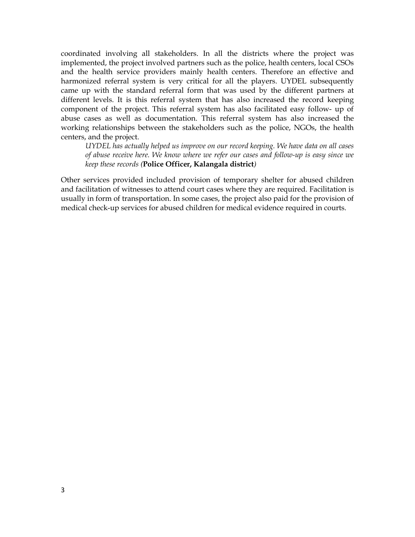coordinated involving all stakeholders. In all the districts where the project was implemented, the project involved partners such as the police, health centers, local CSOs and the health service providers mainly health centers. Therefore an effective and harmonized referral system is very critical for all the players. UYDEL subsequently came up with the standard referral form that was used by the different partners at different levels. It is this referral system that has also increased the record keeping component of the project. This referral system has also facilitated easy follow- up of abuse cases as well as documentation. This referral system has also increased the working relationships between the stakeholders such as the police, NGOs, the health centers, and the project. *UYDEL*

 *has actually helped us improve on our record keeping. We have data on all cases of abuse receive here. We know where we refer our cases and follow-up is easy since we keep these records (***Police Officer, Kalangala district***)*

Other services provided included provision of temporary shelter for abused children and facilitation of witnesses to attend court cases where they are required. Facilitation is usually in form of transportation. In some cases, the project also paid for the provision of medical check-up services for abused children for medical evidence required in courts.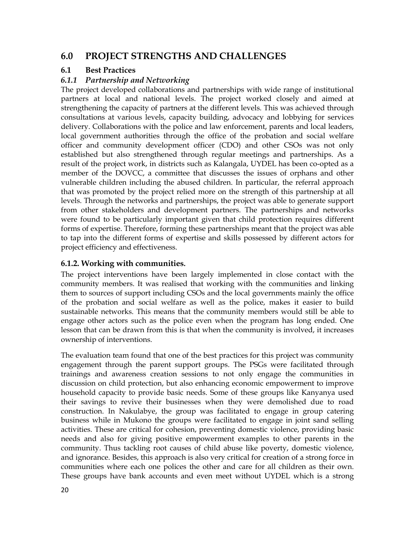#### **6.0PROJECT STRENGTHS AND CHALLENGES**

#### **6.1Best Practices**

#### *6.1.1Partnership and Networking*

The project developed collaborations and partnerships with wide range of institutional partners at local and national levels. The project worked closely and aimed at strengthening the capacity of partners at the different levels. This was achieved through consultations at various levels, capacity building, advocacy and lobbying for services delivery. Collaborations with the police and law enforcement, parents and local leaders, local government authorities, through the office of the probation and social welfare local government authorities through the office of the probation and social welfare officer and community development officer (CDO) and other CSOs was not only established but also strengthened through regular meetings and partnerships. As a result of the project work, in districts such as Kalangala, UYDEL has been co-opted as a member of the DOVCC, a committee that discusses the issues of orphans and other vulnerable children including the abused children. In particular, the referral approach that was promoted by the project relied more on the strength of this partnership at all levels. Through the networks and partnerships, the project was able to generate support from other stakeholders and development partners. The partnerships and networks were found to be particularly important given that child protection requires different forms of expertise. Therefore, forming these partnerships meant that the project was able to tap into the different forms of expertise and skills possessed by different actors for project efficiency and effectiveness.

### **6.1.2. Working with communities.**

The project interventions have been largely implemented in close contact with the community members. It was realised that working with the communities and linking them to sources of support including CSOs and the local governments mainly the office of the probation and social welfare as well as the police, makes it easier to build sustainable networks. This means that the community members would still be able to engage other actors such as the police even when the program has long ended. One lesson that can be drawn from this is that when the community isinvolved, it increases ownership of interventions.

ac The evaluation team found that one of the best practices for this project was community engagement through the parent support groups. The PSGs were facilitated through trainings and awareness creation sessions to not only engage the communities in discussion on child protection, but also enhancing economic empowerment to improve household capacity to provide basic needs. Some of these groups like Kanyanya used their savings to revive their businesses when they were demolished due to road construction. In Nakulabye, the group was facilitated to engage in group catering business while in Mukono the groups were facilitated to engage in joint sand selling activities. These are critical for cohesion, preventing domestic violence, providing basic needs and also for giving positive empowerment examples to other parents in the community. Thus tackling root causes of child abuse like poverty, domestic violence, and ignorance. Besides, this approach is also you critical for creation of a strong force in and ignorance. Besides, this approach is also very critical for creation of a strong force in communities where each one polices the other and care for all children as their own.<br>These groups have bank accounts and oven moot without UNDEL which is a strong These groups have bank accounts and even meet without UYDEL which is a strong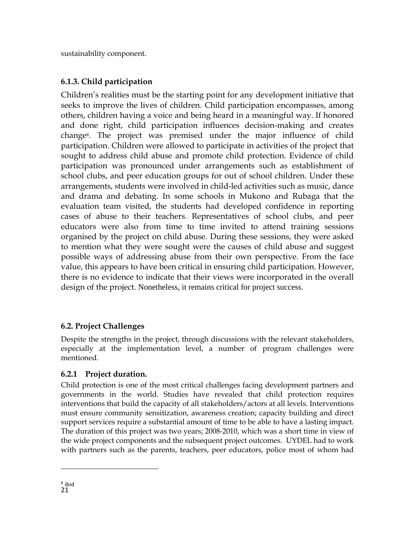sustainability component.

## **6.1.3. Child participation**

Childrenís realities must be the starting point for any development initiative that seeks to improve the lives of children. Child participation encompasses, among others, children having a voice and being heard in a meaningful way. If honored and done right, child participation influences decision-making and creates change8. The project was premised under the major influence of child participation. Children were allowed to participate in activities of the project that sought to address child abuse and promote child protection. Evidence of child participation was pronounced under arrangements such as establishment of school clubs, and peer education groups for out of school children. Under these arrangements, students were involved in child-led activities such as music, dance and drama and debating. In some schools in Mukono and Rubaga that the evaluation team visited, the students had developed confidence in reporting cases of abuse to their teachers. Representatives of school clubs, and peer educators were also from time to time invited to attend training sessions organised by the project on child abuse. During these sessions, they were asked to mention what they were sought were the causes of child abuse and suggest possible ways of addressing abuse from their own perspective. From the face value, this appears to have been critical in ensuring child participation. However, there is no ovidence to indicate that their views were incorporated in the overall there is no evidence to indicate that their views were incorporated in the overall design of the project. Nonetheless, it remains critical for project success.

## **6.2. Project Challenges**

Despite the strengths in the project, through discussions with the relevant stakeholders, especially at the implementation level a number of program challenges were especially at the implementation level, a number of program challenges were mentioned.

### **6.2.1 Project duration.**

21 duration of this project was two years; 2008-2010, which was a short time in view of Child protection is one of the most critical challenges facing development partners and governments in the world. Studies have revealed that child protection requires interventions that build the capacity of all stakeholders/actors at all levels. Interventions must ensure community sensitization, awareness creation; capacity building and direct support services require a substantial amount of time to be able to have a lasting impact.<br>The duration of this project was two years: 2008-2010, which was a short time in view of the wide project components and the subsequent project outcomes. UYDEL had to work with partners such as the parents, teachers, peer educators, police most of whom had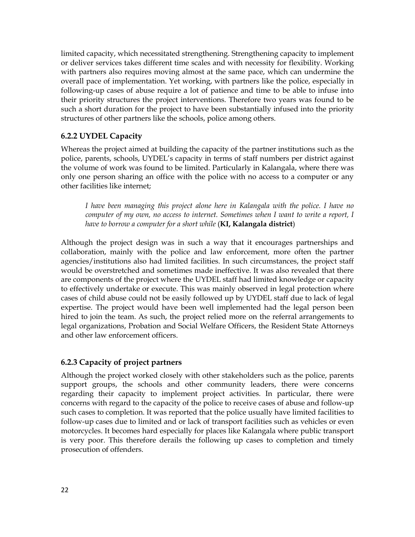limited capacity, which necessitated strengthening. Strengthening capacity to implement or deliver services takes different time scales and with necessity for flexibility. Working with partners also requires moving almost at the same pace, which can undermine the overall partners also requires the ring almost at the same pace, which can analyzinate the police, especially in following-up cases of abuse require a lot of patience and time to be able to infuse into their priority structures the project interventions. Therefore two years was found to be such a short duration for the project nuclearly interested the years was realid to be structures of other partners like the schools, police among others.

### **6.2.2 UYDEL Capacity**

Whereas the project aimed at building the capacity of the partner institutions such asthe police, parents, schools, UYDELís capacity in terms of staff numbers per district against the volume of work was found to be limited. Particularly in Kalangala, where there was only one person sharing an office with the police with no access to a computer or any only once person comining in our

*I have been managing this project alone here in Kalangala with the police. I have no computer of my own, no access to internet. Sometimes when I want to write a report, I have to borrow a computer for a short while* (**KI, Kalangala district**)

Although the project design was in such a way that it encourages partnerships and collaboration, mainly with the police and law enforcement, more often the partner agencies/institutions also had limited facilities. In such circumstances, the project staff would be overstretched and sometimes made ineffective. It was also revealed that there are components of the project where the UYDEL staff had limited knowledge or capacity to effectively undertake or execute. This was mainly observed in legal protection where cases of child abuse could not be easily followed up by UYDEL staff due to lack of legal expertise. The project would have been well implemented had the legal person been hired to join the team. As such, the project relied more on the referral arrangements to legal organizations, Probation and Social Welfare Officers, the Resident State Attorneys and other law enforcement officers.

### **6.2.3** Capacity of project partners

22 motorcycles. It becomes hard especially for places like Kalangala where public transport Although the project worked closely with other stakeholders such as the police, parents support groups, the schools and other community leaders, there were concerns regarding their capacity to implement project activities. In particular, there were concerns with regard to the capacity of the police to receive cases of abuse and follow-up such cases to completion. It was reported that the police usually have limited facilities to follow-up cases due to limited and or lack of transport facilities such as vehicles or even is very poor. This therefore derails the following up cases to completion and timely prosecution of offenders.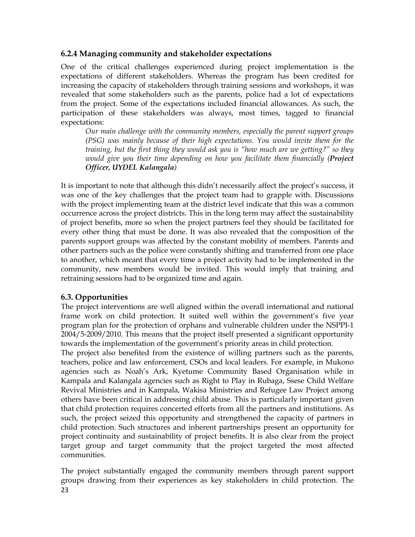### **6.2.4 Managing community and stakeholder expectations**

One of the critical challenges experienced during project implementation is the expectations of different stakeholders. Whereas the program has been credited for increasing the capacity of stakeholders through training sessions and workshops, it was revealed that some stakeholders such as the parents, police had a lot of expectations from the project. Some of the expectations included financial allowances. As such, the participation of these stakeholders was always, most times, tagged to financial expectations:

*Our main challenge with the community members, especially the parent support groups (PSG) was mainly because of their high expectations. You would invite them for the training, but the first thing they would ask you is ìhow much are we getting?î so they would give you their time depending on how you facilitate them financially (Project Officer, UYDEL Kalangala)*

It is important to note that although this didn't necessarily affect the project's success, it was one of the key challenges that the project team had to grapple with. Discussions was one or the neglectance get that the project team mat to grappe with becomes because the with the project implementing team at the district level indicate that this was a common occurrence across the project districts. This in the long term may affect the sustainability of project benefits, more so when the project partners feel they should be facilitated for  $\epsilon$  project continue, increased that the project parameteristic map conclude that the composition of the every other thing that must be done. It was also revealed that the composition of the parents support groups was affected by the constant mobility of members. Parents and other partners such asthe police were constantly shifting and transferred from one place to another, which meant that every time a project activity had to be implemented in the community, new members would be invited. This would imply that training and retraining sessions had to be organized time and again.

### **6.3. Opportunities**

The project interventions are well aligned within the overall international and national frame work on child protection. It suited well within the governmentís five year program plan for the protection of orphans and vulnerable children under the NSPPI-1 2004/5-2009/2010. This means that the project itself presented asignificant opportunity towards the implementation of the government's priority areas in child protection.<br>The project also benefited from the existence of willing partners such as the parent

23 project continuity and sustainability of project benefits. It is also clear from the project The project also benefited from the existence of willing partners such as the parents, teachers, police and law enforcement, CSOs and local leaders. For example, in Mukono agencies such as Noahís Ark, Kyetume Community Based Organisation while in Kampala and Kalangala agencies such as Right to Play in Rubaga, Ssese Child Welfare Revival Ministries and in Kampala, Wakisa Ministries and Refugee Law Project among others have been critical in addressing child abuse. This is particularly important given that child protection requires concerted efforts from all the partners and institutions. As such, the project seized this opportunity and strengthened the capacity of partners in child protection. Such structures and inherent partnerships present an opportunity for target group and target community that the project targeted the most affected communities.

The project substantially engaged the community members through parent support groups drawing from their experiences as key stakeholders in child protection. The23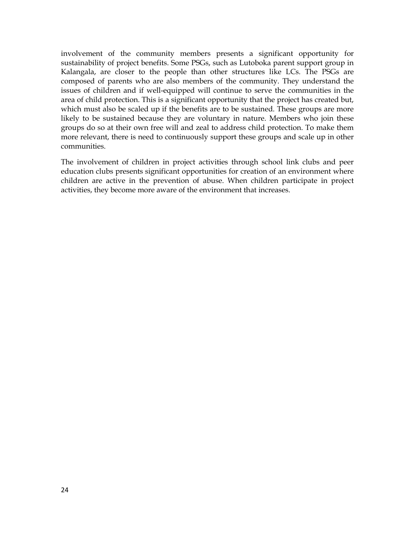involvement of the community members presents a significant opportunity for sustainability of the community members presents a eigenment eppertually for sustainability of project benefits. Some PSGs, such as Lutoboka parent support group in Kalangala, are closer to the people than other structures like LCs. The PSGs are composed of parents who are also members of the community. They understand the issues of children and if well-equipped will continue to serve the communities in the area of child protection. This is a significant opportunity that the project has created but, which must also be scaled up if the bonefits are to be sustained. These groups are more which must also be scaled up if the benefits are to be sustained. These groups are more likely to be sustained because they are voluntary in nature. Members who join these groups do so at their own free will and zeal to address child protection. To make them more relevant, there is need to continuously support these groups and scale up in other communities.

The involvement of children in project activities through school link clubs and peer education clubs presents significant opportunities for creation of an environment where children are active in the prevention of abuse. When children participate in project activities, they become more aware of the environment that increases.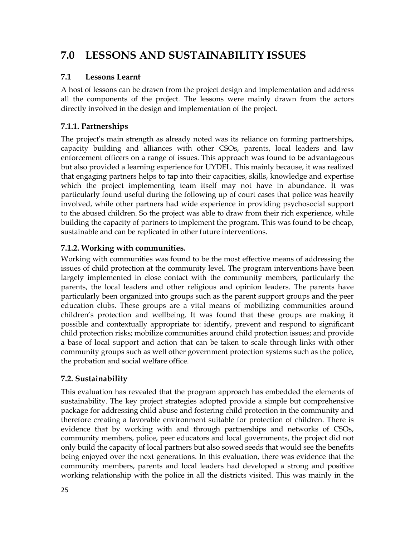#### **7.0LESSONS AND SUSTAINABILITY ISSUES**

#### **7.1Lessons Learnt**

A host of lessons can be drawn from the project design and implementation and address all the components of the project. The lessons were mainly drawn from the actors directly involved in the design and implementation of the project.

## **7.1.1. Partnerships**

The project's main strength as already noted was its reliance on forming partnerships, capacity, building and alliances with other CSOs, parents, local loaders and law building and alliances with other CSOs, parents, local leaders and law enforcement officers on a range of issues. This approach was found to be advantageous but also provided a learning experience for UYDEL. This mainly because, it was realized that engaging partners helps to tap into their capacities, skills, knowledge and expertise which the project implementing team itself may not have in abundance. It was particularly found useful during the following up of court cases that police was heavily involved, while other partners had wide experience in providing psychosocial support to the abused children. So the project was able to draw from their rich experience, while building the capacity of partners to implement the program. This was found to be cheap, sustainable and can be replicated in other future interventions. sustainable and can be replicated in other future interventions.

### **7.1.2. Working with communities.**

Working with communities was found to be the most effective means of addressing the issues of child protection at the community level. The program interventions have been largely implemented in close contact with the community members, particularly the parents, the local leaders and other religious and opinion leaders. The parents have particularly been organized into groups such as the parent support groups and the peer education clubs. These groups are a vital means of mobilizing communities around children's protection and wellbeing. It was found that these groups are making it provide and contextually appropriate to: identify, prevent and respond to significant child protection risks; mobilize communities around child protection issues; and provide a base of local support and action that can be taken to scale through links with other community groups such as well other government protection systems such as the police, the probation and social welfare office. the probation and social welfare office.

### **7.2. Sustainability**

ev This evaluation has revealed that the program approach has embedded the elements of sustainability. The key project strategies adopted provide a simple but comprehensive package for addressing child abuse and fostering child protection in the community and therefore creating a favorable environment suitable for protection of children. There is evidence that by working with and through partnerships and networks of CSOs, community mombers police peer educators and local experiments the project did not community members, police, peer educators and local governments, the project did not only build the capacity of local partners but also sowed seeds that would see the benefits being extra the explicity of focult partners out the soult seems that would see the serients. community members, parents and local leaders had developed a strong and positive working relationship with the police in all the districts visited. This was mainly in the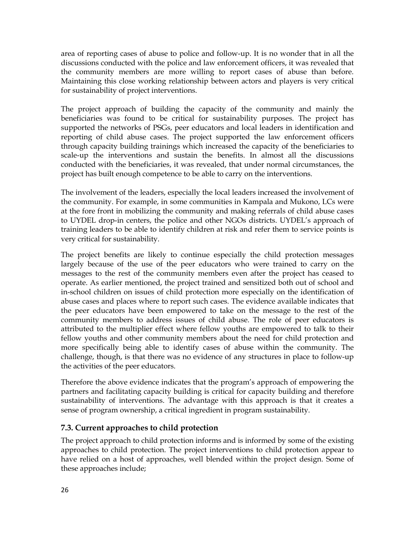area of reporting cases of abuse to police and follow-up. It is no wonder that in all the discussions conducted with the police and law enforcement officers, it was revealed that the community members are more willing to report cases of abuse than before.<br>Maintaining this close working relationship between actors and players is very critical Maintaining this close working relationship between actors and players is very critical for sustainability of project interventions.

The project approach of building the capacity of the community and mainly the beneficiaries was found to be critical for sustainability purposes. The project has supported the networks of PSGs, peer educators and local leaders in identification and reporting of child abuse cases. The project supported the law enforcement officers through capacity building trainings which increased the capacity of the beneficiaries to scale-up the interventions and sustain the benefits. In almost all the discussions conducted with the beneficiaries, it was revealed, that under normal circumstances, the project has built enough competence to be able to carry on the interventions.

The involvement of the leaders, especially the local leaders increased the involvement of the community. For example, in some communities in Kampala and Mukono, LCs were are community. The community in community and making referrals of child abuse cases to UYDEL drop-in centers, the police and other NGOs districts. UYDELís approach of training leaders to be able to identify children at risk and refer them to service points is very critical for sustainability.

The project benefits are likely to continue especially the child protection messages largely because of the use of the peer educators who were trained to carry on the messages to the rest of the community members even after the project has ceased to operate. As earlier mentioned, the project trained and sensitized both out of school and in-school children on issues of child protection more especially on the identification of abuse cases and places where to report such cases. The evidence available indicates that the peer educators have been empowered to take on the message to the rest of the community members to address issues of child abuse. The role of peer educators is attributed to the multiplier effect where fellow youths are empowered to talk to their fellow youths and other community members about the need for child protection and more specifically being able to identify cases of abuse within the community. The challenge, though, is that there was no evidence of any structures in place to follow-up the activities of the peer educators.

Therefore the above evidence indicates that the programís approach of empowering the partners and facilitating capacity building iscritical for capacity building and therefore parative and demanding explority valuating is entired for explority valuating and disverse is<br>sustainability of interventions. The advantage with this approach is that it creates a sense of program ownership, a critical ingredient in program sustainability.

#### $\overline{\phantom{a}}$ **7.3. Current approaches to child protection**

The project approach to child protection informs and is informed by some of the existing approaches to child protection. The project interventions to child protection appear to have relied on a host of approaches, well blended within the project design. Some of these approaches include: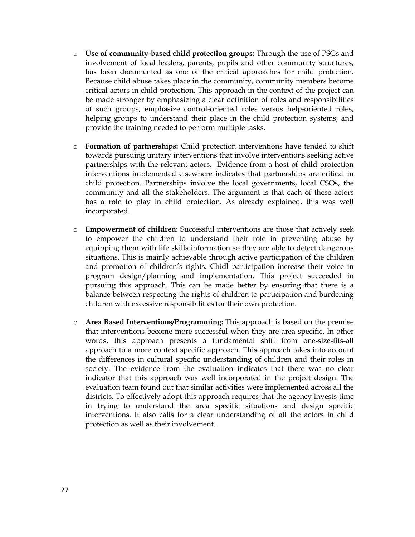- o **Use of community-based child protection groups:** Through the use of PSGs and involvement of local leaders, parents, pupils and other community structures, has been documented as one of the critical annoaches for child protection. has been documented as one of the critical approaches for child protection. Because child abuse takes place in the community, community members become critical actors in child protection. This approach in the context of the project can be made stronger by emphasizing a clear definition of roles and responsibilities of such groups, emphasize control-oriented roles versus help-oriented roles, helping groups to understand their place in the child protection exchange and helping groups to understand their place in the child protection systems, and provide the training needed to perform multiple tasks.
- o **Formation of partnerships:** Child protection interventions have tended to shift towards pursuing unitary interventions that involve interventions seeking active partnerships with the relevant actors. Evidence from a host of child protection interventions implemented elsewhere indicates that partnerships are critical in child protection. Partnerships involve the local governments, local CSOs, the community and all the stakeholders. The argument is that each of these actors has a role to play in child protection. As already explained, this was well incorporated.
- o **Empowerment of children:** Successful interventions are those that actively seek to empower the children to understand their role in preventing abuse by  $\epsilon$  is the proof the contract to different them there in provening them  $\epsilon$   $\epsilon$   $\epsilon$   $\epsilon$ situations. This is mainly achievable through active participation of the children and promotion of childrenís rights. Chidl participation increase their voice in program design/planning and implementation. This project succeeded in pursuing this approach. This can be made better by ensuring that there is a balance between respecting the rights of children to participation and burdening children with excessive responsibilities for their own protection.
- o **Area Based Interventions/Programming:** This approach is based on the premise that interventions become more successful when they are area specific. In other words, this approach presents a fundamental shift from one-size-fits-all approach to a more context specific approach. This approach takes into account the differences in cultural specific understanding of children and their roles in society. The evidence from the evaluation indicates that there was no clear indicator that this approach was well incorporated in the project design. The evaluation team found out that similar activities were implemented across all the districts. To effectively adopt this approach requires that the agency invests time in trying to understand the area specific situations and design specific interventions. It also calls for a clear understanding of all the actors in child protection aswell as their involvement.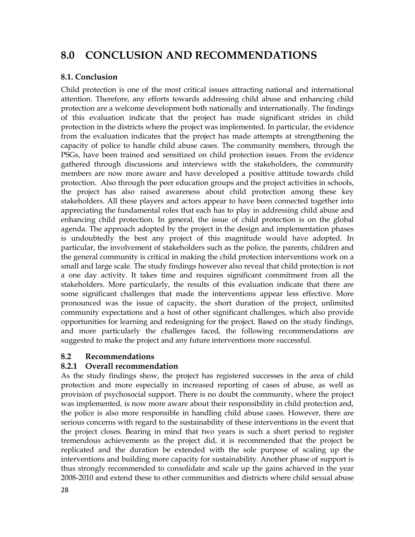#### **8.0CONCLUSION AND RECOMMENDATIONS**

### **8.1. Conclusion**

Child protection is one of the most critical issues attracting national and international attention. Therefore, any efforts towards addressing child abuse and enhancing child protection are a welcome development both nationally and internationally. The findings of this evaluation indicate that the project has made significant strides in child protection in the districts where the project was implemented. In particular, the evidence from the evaluation indicates that the project has made attempts at strengthening the capacity of police to handle child abuse cases. The community members, through the PSGs, have been trained and sensitized on child protection issues. From the evidence gathered through discussions and interviews with the stakeholders, the community members are now more aware and have developed a positive attitude towards child protection. Also through the peer education groups and the project activities in schools, the project has also raised awareness about child protection among these lev project has also raised awareness about child protection among these key stakeholders. All these players and actors appear to have been connected together into appreciating the fundamental roles that each has to play in addressing child abuse and enhancing child protection. In general, the issue of child protection ison the global agenda. The approach adopted by the project in the design and implementation phases is undoubtedly the best any project of this magnitude would have adopted. In particular, the involvement of stakeholders such as the police, the parents, children and the general community iscritical in making the child protection interventions work on a small and large scale. The study findings however also reveal that child protection is not a one day activity. It takes time and requires significant commitment from all the stakeholders. More particularly, the results of this evaluation indicate that there are some significant challenges that made the interventions appear less effective. More pronounced was the issue of capacity, the short duration of the project, unlimited community expectations and ahost of other significant challenges, which also provide opportunities for learning and redesigning for the project. Based on the study findings, and more particularly the challenges faced, the following recommendations are suggested to make the project and any future interventions more successful.

#### **8.2Recommendations**

#### **8.2.1Overall recommendation**

28110 as constant that regime to the claminating of these likes that is the constraint.<br>the project closes. Bearing in mind that two years is such a short period to register As the study findings show, the project has registered successes in the area of child protection and more especially in increased reporting of cases of abuse, as well as provision of psychosocial support. There is no doubt the community, where the project was implemented, is now more aware about their responsibility in child protection and, the police is also more responsible in bandling child abuse cases. However, there are police is also more responsible in handling child abuse cases. However, there are serious concerns with regard to the sustainability of these interventions in the event that tremendous achievements as the project did, it is recommended that the project be replicated and the duration be extended with the sole purpose of scaling up the interventions and building more capacity for sustainability. Another phase of support is thus ventions and sumality increasing the submanismity. This include phase of support is<br>thus strongly recommended to consolidate and scale up the gains achieved in the year 2008-2010 and extend these to other communities and districts where child sexual abuse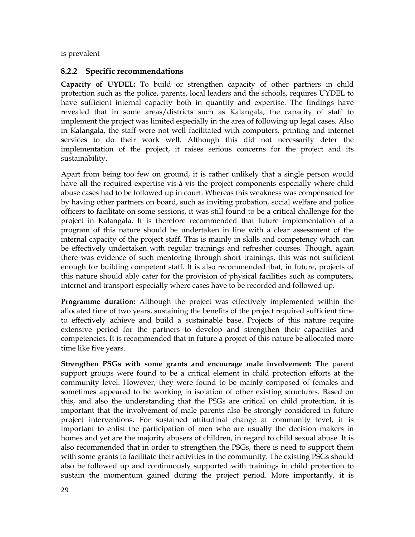is prevalent

### **8.2.2 Specific recommendations**

**Capacity of UYDEL:** To build orstrengthen capacity of other partners in child protection such as the police, parents, local leaders and the schools, requires UYDEL to have sufficient internal capacity both in quantity and expertise. The findings have revealed that in some areas/districts such as Kalangala, the capacity of staff to implement the project was limited especially in the area of following up legal cases. Also in Kalangala, the staff were not well facilitated with computers, printing and internet services to do their work well. Although this did not necessarily deter the implementation of the project, it raises serious concerns for the project and its sustainability.

Apart from being too few on ground, it is rather unlikely that a single person would have all the required expertise vis-à-vis the project components especially where child abuse cases had to be followed up in court. Whereas this weakness was compensated for by having other partners on board, such asinviting probation, social welfare and police officers to facilitate on some sessions, it was still found to be a critical challenge for the project in Kalangala. It is therefore recommended that future implementation of a program of this nature should be undertaken in line with a clear assessment of the internal capacity of the project staff. This is mainly in skills and competency which can be effectively undertaken with regular trainings and refresher courses. Though, again there was evidence of such mentoring through short trainings, this was not sufficient enough for building competent staff. It is also recommended that, in future, projects of this nature should ably cater for the provision of physical facilities such as computers, internet and transport especially where cases have to be recorded and followed up. internet and transport especially where cases have to be recorded and followed up.

**Programme duration:** Although the project was effectively implemented within the allocated time of two years, sustaining the benefits of the project required sufficient time to effectively achieve and build a sustainable base. Projects of this nature require extensive period for the partners to develop and strengthen their capacities and competencies. It is recommended that in future a project of this nature be allocated more time like five years.

.<br>... **Strengthen PSGs with some grants and encourage male involvement: T**he parent support groups were found to be a critical element in child protection efforts at the community level. However, they were found to be mainly composed of females and sometimes appeared to be working in isolation of other existing structures. Based on this, and also the understanding that the PSGs are critical on child protection, it is important that the involvement of male parents also be strongly considered in future project interventions. For sustained attitudinal change at community level, it is important to enlist the participation of men who are usually the decision makers in homes and yet are the majority abusers of children, in regard to child sexual abuse. It is also recommended that in order to strengthen the PSGs, there is need to support them with some grants to facilitate their activities in the community. The existing PSGs should also be followed up and continuously supported with trainings in child protection to sustain the momentum gained during the project period. More importantly, it is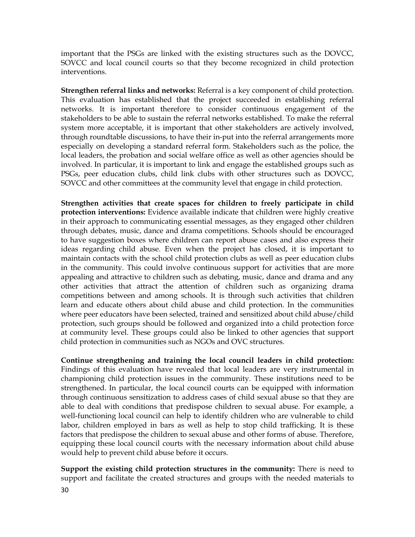important that the PSGs are linked with the existing structures such as the DOVCC,<br>SOVCC and local council courts so that they become recognized in child protection SOVCC and local council courts so that they become recognized in child protection interventions.

**Strengthen referral links and networks:** Referral is <sup>a</sup> key component of child protection. ThisThis evaluation has established that the project succeeded in establishing referral networks. It is important therefore to consider continuous engagement of the stakeholders to be able to sustain the referral networks established. To make the referral system more acceptable, it is important that other stakeholders are actively involved, through roundtable discussions, to have their in put into the referral arrangements more through roundtable discussions, to have their in-put into the referral arrangements more especially on developing a standard referral form. Stakeholders such as the police, the local leaders, the probation and social welfare office as well as other agencies should be involved. In particular, it is important to link and engage the established groups such as PSGs, peer education clubs, child link clubs with other structures such as DOVCC,<br>SOVCC and other committees at the community lovel that engage in child protection SOVCC and other committees at the community level that engage in child protection.

**Strengthen activities that create spaces for children to freely participate in child protection interventions:** Evidence available indicate that children were highly creative in their approach to communicating essential messages, as they engaged other children through debates, music, dance and drama competitions. Schools should be encouraged to have suggestion boxes where children can report abuse cases and also express their ideas regarding child abuse. Even when the project has closed, it is important to maintain contacts with the school child protection clubs as well as peer education clubs in the community. This could involve continuous support for activities that are more are accommodately. This count inverse commute is explored to the matter and the more and any appealing and attractive to children such as debating, music, dance and drama and any other activities that attract the attention of children such as organizing drama competitions between and among schools. It is through such activities that children learn and educate others about child abuse and child protection. In the communities where peer educators have been selected, trained and sensitized about child abuse/child protection, such groups should be followed and organized into a child protection force at community level. These groups could also be linked to other agencies that support child protection in communities such asNGOs and OVC structures.

Factors that predispose the children to sexual abuse and other forms of abuse. Therefore, equipping these local council courts with the pecessary information about child abuse. **Continue strengthening and training the local council leaders in child protection:** Findings of this evaluation have revealed that local leaders are very instrumental in championing child protection issues in the community. These institutions need to be strengthened. In particular, the local council courts can be equipped with information through continuous sensitization to address cases of child sexual abuse so that they are able to deal with conditions that predispose children to sexual abuse. For example, a well-functioning local council can help to identify children who are vulnerable to child labor, children employed in bars as well as help to stop child trafficking. It is these equipping these local council courts with the necessary information about child abuse would help to prevent child abuse before it occurs.

**Support the existing child protection structures in the community:** There is need to support and facilitate the created structures and groups with the needed materials to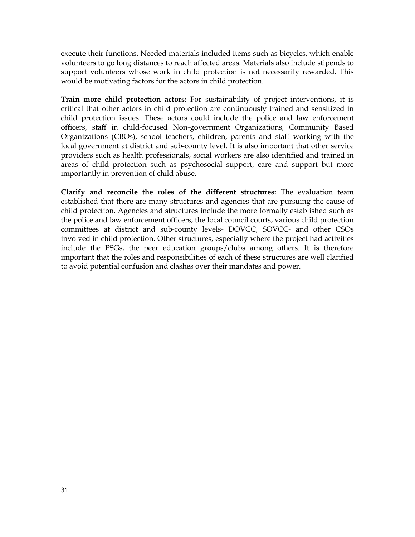execute their functions. Needed materials included items such as bicycles, which enable volunteers to go long distances to reach affected areas. Materials also include stipends to support volunteers whose work in child protection isnot necessarily rewarded. This would be motivating factors for the actors in child protection.

**Train more child protection actors:** For sustainability of project interventions, it is critical that other actors in child protection are continuously trained and sensitized in child protection issues. These actors could include the police and law enforcement officers, staff in child-focused Non-government Organizations, Community Based Organizations (CBOs), school teachers, children, parents and staff working with the local government at district and sub-county level. It is also important that other service providers such ashealth professionals, social workers are also identified and trained in areas of child protection such as psychosocial support, care and support but more importantly in prevention of child abuse.

**Clarify and reconcile the roles of the different structures:** The evaluation team established that there are many structures and agencies that are pursuing the cause of concentration that there are many environmental and agencies that are planeting the chase of the police and law enforcement officers, the local council courts, various child protection committees at district and sub-county levels- DOVCC, SOVCC- and other CSOs involved in child protection. Other structures, especially where the project had activities include the PSGs, the peer education groups/clubs among others. It is therefore important that the roles and responsibilities of each of these structures are well clarified the cruin that the reference of class and clashes over their mandates and power.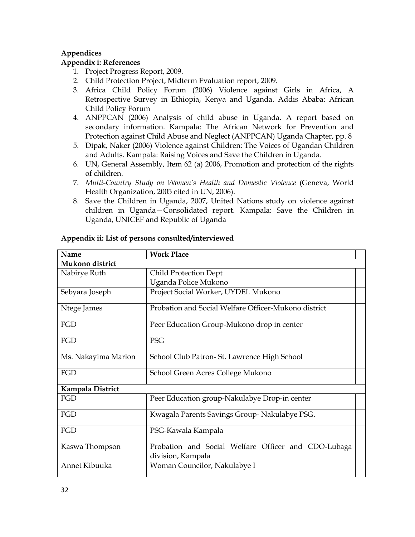#### **AppendicesAppendix**

#### **i: References**

- 1. Project Progress Report, 2009.<br>2. Child Protection Project Midterm
- 2. Child Protection Project, Midterm Evaluation report, 2009.
- Africa Child Policy Forum (2006) Violence against Girls in Africa, A Retrospective Survey in Ethiopia, Kenya and Uganda. Addis Ababa: African Child Policy Forum
- 4. ANPPCAN (2006) Analysis of child abuse in Uganda. A reportbased on secondary information. Kampala: The African Network for Prevention and Protection against Child Abuse and Neglect (ANPPCAN) Uganda Chapter, pp. 8
- 5. Dipak, Naker (2006) Violence against Children: The Voices of Ugandan Children and Adults. Kampala: Raising Voices and Save the Children in Uganda.<br>6. IIN Ceneral Assembly, Item 62.(a) 2006. Premetien and protection of the
- UN, General Assembly, Item 62 (a) 2006, Promotion and protection of the rights of children. children. 7. *Multi-Country Study on Womenís Health and Domestic Violence* (Geneva, World
- Health Organization, 2005 cited in UN, 2006).<br>8. Save the Children in Haanda, 2007, United Nat
- Save the Children in Uganda, 2007, United Nations study on violence against children in Uganda–Consolidated report. Kampala: Save the Children in Uganda, UNICEF and Republic of Uganda

| Name                | <b>Work Place</b>                                                        |
|---------------------|--------------------------------------------------------------------------|
| Mukono district     |                                                                          |
| Nabirye Ruth        | <b>Child Protection Dept</b>                                             |
|                     | Uganda Police Mukono                                                     |
| Sebyara Joseph      | Project Social Worker, UYDEL Mukono                                      |
| Ntege James         | Probation and Social Welfare Officer-Mukono district                     |
| FGD                 | Peer Education Group-Mukono drop in center                               |
| FGD                 | <b>PSG</b>                                                               |
| Ms. Nakayima Marion | School Club Patron- St. Lawrence High School                             |
| FGD                 | School Green Acres College Mukono                                        |
| Kampala District    |                                                                          |
| FGD                 | Peer Education group-Nakulabye Drop-in center                            |
| FGD                 | Kwagala Parents Savings Group-Nakulabye PSG.                             |
| FGD                 | PSG-Kawala Kampala                                                       |
| Kaswa Thompson      | Probation and Social Welfare Officer and CDO-Lubaga<br>division, Kampala |
| Annet Kibuuka       | Woman Councilor, Nakulabye I                                             |

### **Appendix ii: List of persons consulted/interviewed**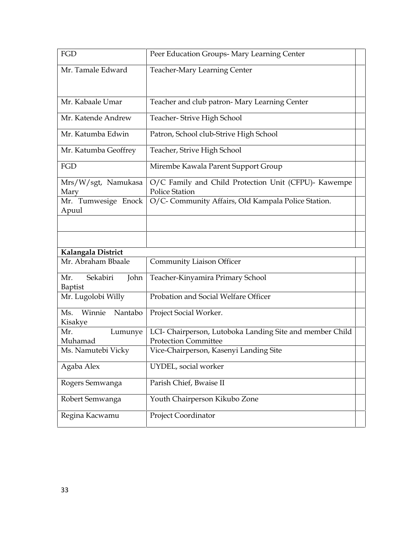| FGD                                 | Peer Education Groups- Mary Learning Center                                             |  |
|-------------------------------------|-----------------------------------------------------------------------------------------|--|
| Mr. Tamale Edward                   | <b>Teacher-Mary Learning Center</b>                                                     |  |
| Mr. Kabaale Umar                    | Teacher and club patron- Mary Learning Center                                           |  |
| Mr. Katende Andrew                  | Teacher-Strive High School                                                              |  |
| Mr. Katumba Edwin                   | Patron, School club-Strive High School                                                  |  |
| Mr. Katumba Geoffrey                | Teacher, Strive High School                                                             |  |
| FGD                                 | Mirembe Kawala Parent Support Group                                                     |  |
| Mrs/W/sgt, Namukasa<br>Mary         | O/C Family and Child Protection Unit (CFPU)- Kawempe<br><b>Police Station</b>           |  |
| Mr. Tumwesige Enock<br>Apuul        | O/C- Community Affairs, Old Kampala Police Station.                                     |  |
|                                     |                                                                                         |  |
|                                     |                                                                                         |  |
| Kalangala District                  |                                                                                         |  |
| Mr. Abraham Bbaale                  | Community Liaison Officer                                                               |  |
| Sekabiri<br>Mr.<br>John<br>Baptist  | Teacher-Kinyamira Primary School                                                        |  |
| Mr. Lugolobi Willy                  | Probation and Social Welfare Officer                                                    |  |
| Winnie<br>Nantabo<br>Ms.<br>Kisakye | Project Social Worker.                                                                  |  |
| Mr.<br>Lumunye<br>Muhamad           | LCI- Chairperson, Lutoboka Landing Site and member Child<br><b>Protection Committee</b> |  |
| Ms. Namutebi Vicky                  | Vice-Chairperson, Kasenyi Landing Site                                                  |  |
| Agaba Alex                          | UYDEL, social worker                                                                    |  |
| Rogers Semwanga                     | Parish Chief, Bwaise II                                                                 |  |
| Robert Semwanga                     | Youth Chairperson Kikubo Zone                                                           |  |
| Regina Kacwamu                      | Project Coordinator                                                                     |  |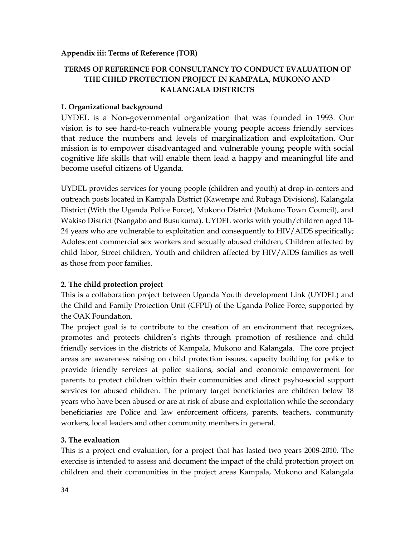### **Appendix iii: Terms of Reference (TOR)**

### **TERMS OF REFERENCE FOR CONSULTANCY TO CONDUCT EVALUATION OF THE CHILD PROTECTION PROJECT IN KAMPALA, MUKONO AND KALANGALA DISTRICTS**

### **1. Organizational background**

UYDEL is a Non-governmental organization that was founded in 1993. Our vision is to see hard-to-reach vulnerable young people access friendly services that reduce the numbers and levels of marginalization and exploitation. Our mission is to empower disadvantaged and vulnerable young people with social cognitive life skills that will enable them lead a happy and meaningful life and become useful citizens of Uganda.

UYDEL provides services for young people (children and youth) at drop-in-centers and outreach posts located in Kampala District (Kawempe and Rubaga Divisions), Kalangala District (With the Uganda Police Force), Mukono District (Mukono Town Council), and Wakiso District (Nangabo and Busukuma). UYDEL works with youth/children aged 10- 24 years who are vulnerable to exploitation and consequently to HIV/AIDS specifically; Adolescent commercial sex workers and sexually abused children, Children affected by child labor, Street children, Youth and children affected by HIV/AIDS families as well as those from poor families.

### **2. The child protection project**

This is a collaboration project between Uganda Youth development Link (UYDEL) and the Child and Family Protection Unit (CFPU) of the Uganda Police Force, supported by the OAK Foundation.

The project goal is to contribute to the creation of an environment that recognizes, promotes and protects childrenís rights through promotion of resilience and child friendly services in the districts of Kampala, Mukono and Kalangala. The core project areas are awareness raising on child protection issues, capacity building for police to provide friendly services at police stations, social and economic empowerment for parents to protect children within their communities and direct psyho-social support services for abused children. The primary target beneficiaries are children below 18 years who have been abused or are atrisk of abuse and exploitation while the secondary beneficiaries are Police and law enforcement officers, parents, teachers, community workers, local leaders and other community members in general.

### **3. The evaluation**

This is a project end evaluation, for a project that has lasted two years 2008-2010. The exercise is intended to assess and document the impact of the child protection project on children and their communities in the project areas Kampala, Mukono and Kalangala